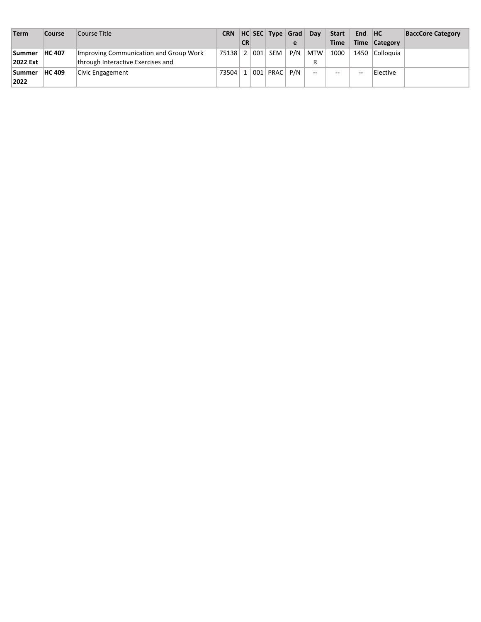| Term          | <b>Course</b> | Course Title                           | <b>CRN</b>            |           | HC SEC Type Grad     |     | Dav    | <b>Start</b> | End HC |                | <b>BaccCore Category</b> |
|---------------|---------------|----------------------------------------|-----------------------|-----------|----------------------|-----|--------|--------------|--------|----------------|--------------------------|
|               |               |                                        |                       | <b>CR</b> |                      | e   |        | <b>Time</b>  |        | Time Category  |                          |
| <b>Summer</b> | <b>HC 407</b> | Improving Communication and Group Work | 75138   2   001   SEM |           |                      | P/N | MTW    | 1000         |        | 1450 Colloquia |                          |
| 2022 Ext      |               | through Interactive Exercises and      |                       |           |                      |     | R      |              |        |                |                          |
| <b>Summer</b> | <b>HC 409</b> | Civic Engagement                       | 73504                 |           | $ 001 $ PRAC $ P/N $ |     | $\sim$ | --           | $-$    | Elective       |                          |
| 2022          |               |                                        |                       |           |                      |     |        |              |        |                |                          |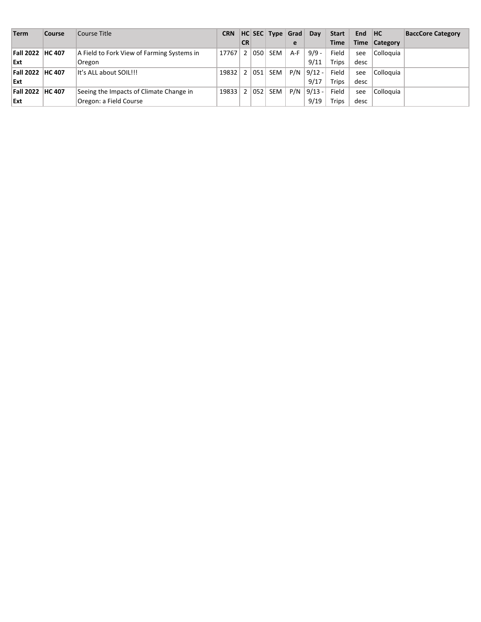| Term              | <b>Course</b> | Course Title                               | <b>CRN</b> |           |     | HC SEC Type Grad |       | <b>Day</b> | <b>Start</b> | End HC |               | <b>BaccCore Category</b> |
|-------------------|---------------|--------------------------------------------|------------|-----------|-----|------------------|-------|------------|--------------|--------|---------------|--------------------------|
|                   |               |                                            |            | <b>CR</b> |     |                  | e     |            | <b>Time</b>  |        | Time Category |                          |
| Fall 2022  HC 407 |               | A Field to Fork View of Farming Systems in | 17767      | 2         |     | 050   SEM        | $A-F$ | $9/9 -$    | Field        | see    | Colloquia     |                          |
| Ext               |               | Oregon                                     |            |           |     |                  |       | 9/11       | Trips        | desc   |               |                          |
| Fall 2022 HC 407  |               | It's ALL about SOIL!!!                     | 19832      | 2         | 051 | SEM              | P/N   | $9/12 -$   | Field        | see    | Colloquia     |                          |
| Ext               |               |                                            |            |           |     |                  |       | 9/17       | Trips        | desc   |               |                          |
| Fall 2022 HC 407  |               | Seeing the Impacts of Climate Change in    | 19833      | 2         | 052 | SEM              | P/N   | $9/13 -$   | Field        | see    | Colloquia     |                          |
| Ext               |               | Oregon: a Field Course                     |            |           |     |                  |       | 9/19       | Trips        | desc   |               |                          |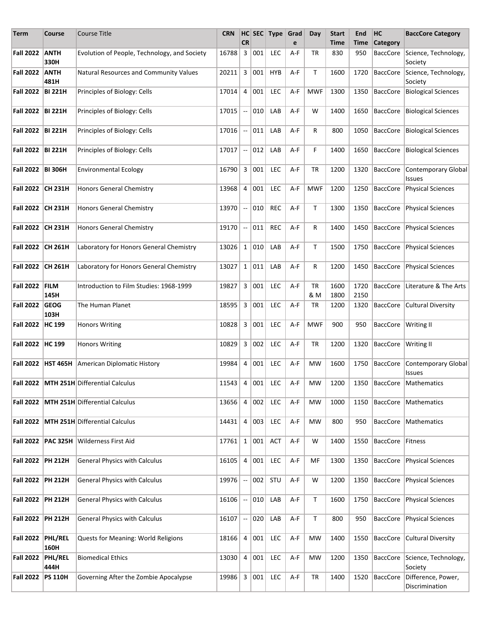| Term                | <b>Course</b>        | Course Title                                 | <b>CRN</b>    | <b>CR</b>                |     | HC SEC Type | Grad<br>e | Day              | <b>Start</b><br>Time | End<br>Time  | HC<br><b>Category</b> | <b>BaccCore Category</b>             |
|---------------------|----------------------|----------------------------------------------|---------------|--------------------------|-----|-------------|-----------|------------------|----------------------|--------------|-----------------------|--------------------------------------|
| <b>Fall 2022</b>    | <b>ANTH</b><br>330H  | Evolution of People, Technology, and Society | 16788         | 3                        | 001 | <b>LEC</b>  | A-F       | TR               | 830                  | 950          | <b>BaccCore</b>       | Science, Technology,<br>Society      |
| <b>Fall 2022</b>    | <b>ANTH</b><br>481H  | Natural Resources and Community Values       | 20211         | 3                        | 001 | <b>HYB</b>  | A-F       | T                | 1600                 | 1720         | <b>BaccCore</b>       | Science, Technology,<br>Society      |
| <b>Fall 2022</b>    | <b>BI 221H</b>       | Principles of Biology: Cells                 | 17014         | 4                        | 001 | <b>LEC</b>  | A-F       | <b>MWF</b>       | 1300                 | 1350         | <b>BaccCore</b>       | <b>Biological Sciences</b>           |
| Fall 2022 BI 221H   |                      | Principles of Biology: Cells                 | 17015         | $\overline{\phantom{a}}$ | 010 | LAB         | A-F       | W                | 1400                 | 1650         | <b>BaccCore</b>       | <b>Biological Sciences</b>           |
| Fall 2022 BI 221H   |                      | Principles of Biology: Cells                 | 17016         | $\sim$                   | 011 | LAB         | A-F       | R                | 800                  | 1050         | <b>BaccCore</b>       | <b>Biological Sciences</b>           |
| Fall 2022 BI 221H   |                      | Principles of Biology: Cells                 | 17017         | $\overline{\phantom{a}}$ | 012 | LAB         | A-F       | F                | 1400                 | 1650         | BaccCore              | <b>Biological Sciences</b>           |
| Fall 2022   BI 306H |                      | <b>Environmental Ecology</b>                 | 16790         | 3                        | 001 | <b>LEC</b>  | A-F       | TR               | 1200                 | 1320         | BaccCore              | Contemporary Global<br><b>Issues</b> |
| <b>Fall 2022</b>    | CH 231H              | <b>Honors General Chemistry</b>              | 13968         | 4                        | 001 | <b>LEC</b>  | A-F       | <b>MWF</b>       | 1200                 | 1250         | <b>BaccCore</b>       | Physical Sciences                    |
| <b>Fall 2022</b>    | <b>CH 231H</b>       | <b>Honors General Chemistry</b>              | 13970         | $\overline{\phantom{a}}$ | 010 | <b>REC</b>  | A-F       | T                | 1300                 | 1350         | <b>BaccCore</b>       | Physical Sciences                    |
| <b>Fall 2022</b>    | <b>CH 231H</b>       | <b>Honors General Chemistry</b>              | 19170         | 4                        | 011 | <b>REC</b>  | A-F       | R                | 1400                 | 1450         | BaccCore              | <b>Physical Sciences</b>             |
| <b>Fall 2022</b>    | <b>CH 261H</b>       | Laboratory for Honors General Chemistry      | 13026         | $\mathbf{1}$             | 010 | LAB         | A-F       | $\mathsf{T}$     | 1500                 | 1750         | <b>BaccCore</b>       | Physical Sciences                    |
| <b>Fall 2022</b>    | CH 261H              | Laboratory for Honors General Chemistry      | 13027         | $\mathbf{1}$             | 011 | LAB         | A-F       | R                | 1200                 | 1450         | <b>BaccCore</b>       | Physical Sciences                    |
| <b>Fall 2022</b>    | <b>FILM</b><br>145H  | Introduction to Film Studies: 1968-1999      | 19827         | 3                        | 001 | <b>LEC</b>  | A-F       | <b>TR</b><br>& M | 1600<br>1800         | 1720<br>2150 | <b>BaccCore</b>       | Literature & The Arts                |
| <b>Fall 2022</b>    | <b>GEOG</b><br>103H  | The Human Planet                             | 18595         | 3                        | 001 | <b>LEC</b>  | A-F       | <b>TR</b>        | 1200                 | 1320         | <b>BaccCore</b>       | Cultural Diversity                   |
| <b>Fall 2022</b>    | <b>HC 199</b>        | <b>Honors Writing</b>                        | 10828         | 3                        | 001 | LEC         | A-F       | <b>MWF</b>       | 900                  | 950          | BaccCore              | <b>Writing II</b>                    |
| Fall 2022   HC 199  |                      | <b>Honors Writing</b>                        | 10829         | 3                        | 002 | <b>LEC</b>  | A-F       | TR               | 1200                 | 1320         | BaccCore              | <b>Writing II</b>                    |
|                     | Fall 2022   HST 465H | American Diplomatic History                  | 19984         | 4                        | 001 | <b>LEC</b>  | A-F       | MW               | 1600                 | 1750         | BaccCore              | Contemporary Global<br>Issues        |
|                     |                      | Fall 2022   MTH 251H Differential Calculus   | $11543$ 4 001 |                          |     | LEC         | $A-F$     | MW               | 1200                 | 1350         |                       | BaccCore   Mathematics               |
| <b>Fall 2022</b>    |                      | MTH 251H Differential Calculus               | 13656         | 4                        | 002 | <b>LEC</b>  | A-F       | MW               | 1000                 | 1150         | <b>BaccCore</b>       | Mathematics                          |
| <b>Fall 2022</b>    |                      | MTH 251H Differential Calculus               | 14431         | 4                        | 003 | <b>LEC</b>  | A-F       | MW               | 800                  | 950          | <b>BaccCore</b>       | Mathematics                          |
| <b>Fall 2022</b>    | <b>PAC 325H</b>      | Wilderness First Aid                         | 17761         | $1\vert$                 | 001 | <b>ACT</b>  | A-F       | W                | 1400                 | 1550         | BaccCore Fitness      |                                      |
| Fall 2022 PH 212H   |                      | <b>General Physics with Calculus</b>         | 16105         | $\overline{4}$           | 001 | <b>LEC</b>  | A-F       | MF               | 1300                 | 1350         | BaccCore              | Physical Sciences                    |
| <b>Fall 2022</b>    | <b>PH 212H</b>       | <b>General Physics with Calculus</b>         | 19976         | $\sim$                   | 002 | STU         | A-F       | W                | 1200                 | 1350         | BaccCore              | Physical Sciences                    |
| Fall 2022   PH 212H |                      | <b>General Physics with Calculus</b>         | 16106         | $\overline{\phantom{a}}$ | 010 | LAB         | A-F       | T                | 1600                 | 1750         | BaccCore              | Physical Sciences                    |
| Fall 2022 PH 212H   |                      | <b>General Physics with Calculus</b>         | 16107         | $\overline{\phantom{a}}$ | 020 | LAB         | A-F       | T                | 800                  | 950          | BaccCore              | Physical Sciences                    |
| Fall 2022 PHL/REL   | 160H                 | Quests for Meaning: World Religions          | 18166         | 4                        | 001 | <b>LEC</b>  | A-F       | MW               | 1400                 | 1550         | <b>BaccCore</b>       | <b>Cultural Diversity</b>            |
| <b>Fall 2022</b>    | PHL/REL<br>444H      | <b>Biomedical Ethics</b>                     | 13030         | 4                        | 001 | <b>LEC</b>  | A-F       | MW               | 1200                 | 1350         | BaccCore              | Science, Technology,<br>Society      |
| <b>Fall 2022</b>    | <b>PS 110H</b>       | Governing After the Zombie Apocalypse        | 19986         | 3 <sup>1</sup>           | 001 | <b>LEC</b>  | A-F       | TR               | 1400                 | 1520         | BaccCore              | Difference, Power,<br>Discrimination |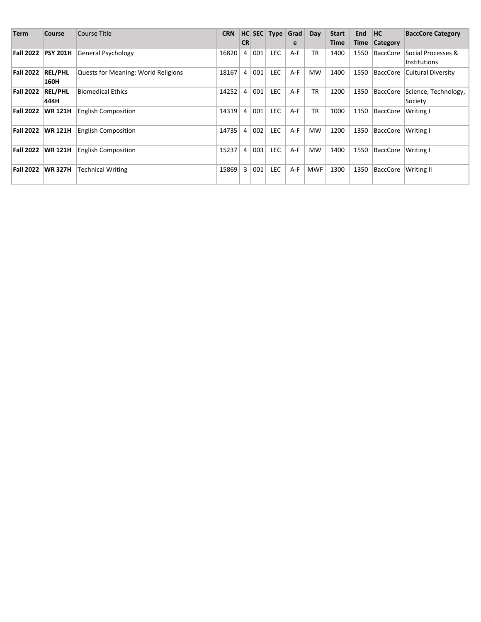| <b>Term</b>      | Course          | Course Title                               | <b>CRN</b> |                |     |            | HC SEC Type Grad | Day        | <b>Start</b> | <b>End</b> | ∣HC ∣           | <b>BaccCore Category</b> |
|------------------|-----------------|--------------------------------------------|------------|----------------|-----|------------|------------------|------------|--------------|------------|-----------------|--------------------------|
|                  |                 |                                            |            | <b>CR</b>      |     |            | e                |            | Time         |            | Time Category   |                          |
| Fall 2022        | <b>PSY 201H</b> | General Psychology                         | 16820      | $\overline{4}$ | 001 | <b>LEC</b> | A-F              | <b>TR</b>  | 1400         | 1550       | <b>BaccCore</b> | Social Processes &       |
|                  |                 |                                            |            |                |     |            |                  |            |              |            |                 | Institutions             |
| <b>Fall 2022</b> | <b>REL/PHL</b>  | <b>Quests for Meaning: World Religions</b> | 18167      | 4              | 001 | <b>LEC</b> | A-F              | <b>MW</b>  | 1400         | 1550       | BaccCore        | Cultural Diversity       |
|                  | 160H            |                                            |            |                |     |            |                  |            |              |            |                 |                          |
| <b>Fall 2022</b> | <b>REL/PHL</b>  | Biomedical Ethics                          | 14252      | 4              | 001 | <b>LEC</b> | A-F              | <b>TR</b>  | 1200         | 1350       | BaccCore        | Science, Technology,     |
|                  | 444H            |                                            |            |                |     |            |                  |            |              |            |                 | Society                  |
| Fall 2022        | <b>WR 121H</b>  | <b>English Composition</b>                 | 14319      | $\overline{4}$ | 001 | <b>LEC</b> | A-F              | <b>TR</b>  | 1000         | 1150       | <b>BaccCore</b> | Writing I                |
|                  |                 |                                            |            |                |     |            |                  |            |              |            |                 |                          |
| Fall 2022        | <b>WR 121H</b>  | <b>English Composition</b>                 | 14735      | $\overline{4}$ | 002 | <b>LEC</b> | $A-F$            | <b>MW</b>  | 1200         | 1350       | <b>BaccCore</b> | Writing I                |
|                  |                 |                                            |            |                |     |            |                  |            |              |            |                 |                          |
| Fall 2022        | <b>WR 121H</b>  | <b>English Composition</b>                 | 15237      | 4              | 003 | <b>LEC</b> | $A-F$            | <b>MW</b>  | 1400         | 1550       | <b>BaccCore</b> | Writing I                |
|                  |                 |                                            |            |                |     |            |                  |            |              |            |                 |                          |
| Fall 2022        | <b>WR 327H</b>  | <b>Technical Writing</b>                   | 15869      | 3              | 001 | <b>LEC</b> | $A-F$            | <b>MWF</b> | 1300         | 1350       | BaccCore        | <b>Writing II</b>        |
|                  |                 |                                            |            |                |     |            |                  |            |              |            |                 |                          |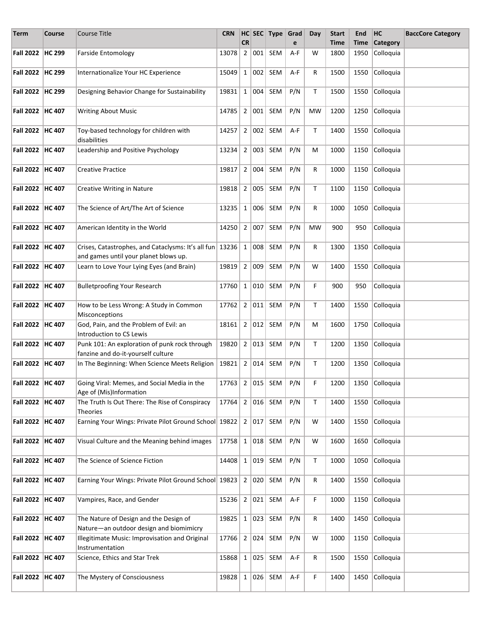| <b>Term</b>        | Course | <b>Course Title</b>                                                                                   | <b>CRN</b>            | <b>CR</b>      |     | $HC$ SEC Type | Grad<br>e | Day          | <b>Start</b><br><b>Time</b> | End<br>Time | HC<br><b>Category</b> | <b>BaccCore Category</b> |
|--------------------|--------|-------------------------------------------------------------------------------------------------------|-----------------------|----------------|-----|---------------|-----------|--------------|-----------------------------|-------------|-----------------------|--------------------------|
| Fall 2022 HC 299   |        | <b>Farside Entomology</b>                                                                             | 13078                 | $\overline{2}$ | 001 | <b>SEM</b>    | A-F       | w            | 1800                        | 1950        | Colloquia             |                          |
| Fall 2022   HC 299 |        | Internationalize Your HC Experience                                                                   | 15049                 | $1 \vert$      | 002 | SEM           | A-F       | R            | 1500                        | 1550        | Colloquia             |                          |
| Fall 2022   HC 299 |        | Designing Behavior Change for Sustainability                                                          | 19831                 | 1              | 004 | SEM           | P/N       | T.           | 1500                        | 1550        | Colloquia             |                          |
|                    |        |                                                                                                       |                       |                |     |               |           |              |                             |             |                       |                          |
| Fall 2022   HC 407 |        | <b>Writing About Music</b>                                                                            | 14785                 | 2              | 001 | SEM           | P/N       | <b>MW</b>    | 1200                        | 1250        | Colloquia             |                          |
| Fall 2022   HC 407 |        | Toy-based technology for children with<br>disabilities                                                | 14257                 | $\overline{2}$ | 002 | SEM           | A-F       | T.           | 1400                        | 1550        | Colloquia             |                          |
| Fall 2022   HC 407 |        | Leadership and Positive Psychology                                                                    | 13234                 | $2^{\circ}$    | 003 | SEM           | P/N       | м            | 1000                        | 1150        | Colloquia             |                          |
| Fall 2022   HC 407 |        | <b>Creative Practice</b>                                                                              | 19817                 | 2 <sup>1</sup> | 004 | SEM           | P/N       | R            | 1000                        | 1150        | Colloquia             |                          |
| Fall 2022   HC 407 |        | Creative Writing in Nature                                                                            | $19818$ 2             |                | 005 | SEM           | P/N       | T.           | 1100                        | 1150        | Colloquia             |                          |
| Fall 2022   HC 407 |        | The Science of Art/The Art of Science                                                                 | 13235                 | $\mathbf{1}$   | 006 | SEM           | P/N       | R            | 1000                        | 1050        | Colloquia             |                          |
| Fall 2022   HC 407 |        | American Identity in the World                                                                        | 14250                 | $2^{\circ}$    | 007 | SEM           | P/N       | MW           | 900                         | 950         | Colloquia             |                          |
| Fall 2022   HC 407 |        | Crises, Catastrophes, and Cataclysms: It's all fun   13236  <br>and games until your planet blows up. |                       | $1 \vert$      | 008 | <b>SEM</b>    | P/N       | R            | 1300                        | 1350        | Colloquia             |                          |
| Fall 2022   HC 407 |        | Learn to Love Your Lying Eyes (and Brain)                                                             | 19819                 | 2              | 009 | SEM           | P/N       | W            | 1400                        | 1550        | Colloquia             |                          |
| Fall 2022   HC 407 |        | <b>Bulletproofing Your Research</b>                                                                   | 17760                 | $\mathbf{1}$   | 010 | SEM           | P/N       | F            | 900                         | 950         | Colloquia             |                          |
| Fall 2022   HC 407 |        | How to be Less Wrong: A Study in Common<br>Misconceptions                                             | 17762                 | $2^{\circ}$    | 011 | SEM           | P/N       | $\mathsf{T}$ | 1400                        | 1550        | Colloquia             |                          |
| Fall 2022   HC 407 |        | God, Pain, and the Problem of Evil: an<br><b>Introduction to CS Lewis</b>                             | 18161                 | 2              | 012 | SEM           | P/N       | M            | 1600                        | 1750        | Colloquia             |                          |
| Fall 2022   HC 407 |        | Punk 101: An exploration of punk rock through<br>fanzine and do-it-yourself culture                   | 19820                 | 2              | 013 | SEM           | P/N       | T            | 1200                        | 1350        | Colloquia             |                          |
| Fall 2022 HC 407   |        | In The Beginning: When Science Meets Religion                                                         | 19821                 | 2 <sup>1</sup> | 014 | <b>SEM</b>    | P/N       | T            | 1200                        | 1350        | Colloquia             |                          |
| Fall 2022   HC 407 |        | Going Viral: Memes, and Social Media in the<br>Age of (Mis)Information                                | 17763   2   015   SEM |                |     |               | P/N       | F            | 1200                        |             | 1350 Colloquia        |                          |
| Fall 2022   HC 407 |        | The Truth Is Out There: The Rise of Conspiracy<br>Theories                                            | 17764                 | 2              |     | $016$ SEM     | P/N       | T            | 1400                        | 1550        | Colloquia             |                          |
| Fall 2022   HC 407 |        | Earning Your Wings: Private Pilot Ground School   19822                                               |                       | 2              | 017 | <b>SEM</b>    | P/N       | W            | 1400                        | 1550        | Colloquia             |                          |
| Fall 2022   HC 407 |        | Visual Culture and the Meaning behind images                                                          | 17758                 | 1              | 018 | SEM           | P/N       | W            | 1600                        | 1650        | Colloquia             |                          |
| Fall 2022   HC 407 |        | The Science of Science Fiction                                                                        | 14408                 | 1              | 019 | SEM           | P/N       | T            | 1000                        | 1050        | Colloquia             |                          |
| Fall 2022   HC 407 |        | Earning Your Wings: Private Pilot Ground School 19823                                                 |                       | 2              | 020 | <b>SEM</b>    | P/N       | R            | 1400                        | 1550        | Colloquia             |                          |
| Fall 2022   HC 407 |        | Vampires, Race, and Gender                                                                            | 15236                 | $2^{\circ}$    | 021 | SEM           | A-F       | F            | 1000                        | 1150        | Colloquia             |                          |
| Fall 2022   HC 407 |        | The Nature of Design and the Design of<br>Nature-an outdoor design and biomimicry                     | 19825                 | $1\vert$       | 023 | SEM           | P/N       | R            | 1400                        | 1450        | Colloquia             |                          |
| Fall 2022   HC 407 |        | Illegitimate Music: Improvisation and Original<br>Instrumentation                                     | 17766                 | 2              | 024 | SEM           | P/N       | W            | 1000                        | 1150        | Colloquia             |                          |
| Fall 2022   HC 407 |        | Science, Ethics and Star Trek                                                                         | 15868                 |                |     | 1   025   SEM | A-F       | R            | 1500                        | 1550        | Colloquia             |                          |
| Fall 2022   HC 407 |        | The Mystery of Consciousness                                                                          | 19828                 | $1 \vert$      |     | $026$ SEM     | A-F       | F            | 1400                        | 1450        | Colloquia             |                          |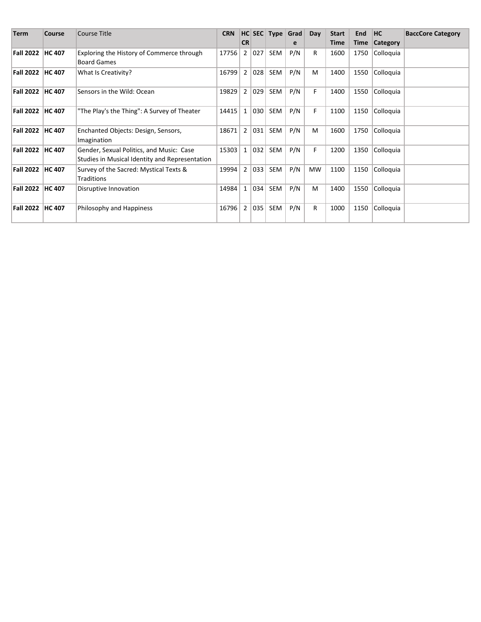| Term               | Course        | Course Title                                                                               | <b>CRN</b> |                |     |     | HC SEC Type Grad | Day | <b>Start</b> | End  | HC.             | <b>BaccCore Category</b> |
|--------------------|---------------|--------------------------------------------------------------------------------------------|------------|----------------|-----|-----|------------------|-----|--------------|------|-----------------|--------------------------|
|                    |               |                                                                                            |            | <b>CR</b>      |     |     | e                |     | Time         | Time | <b>Category</b> |                          |
| Fall 2022   HC 407 |               | Exploring the History of Commerce through<br><b>Board Games</b>                            | 17756      | $\overline{2}$ | 027 | SEM | P/N              | R   | 1600         | 1750 | Colloquia       |                          |
| Fall 2022          | <b>HC 407</b> | What Is Creativity?                                                                        | 16799      | $\overline{2}$ | 028 | SEM | P/N              | M   | 1400         | 1550 | Colloquia       |                          |
| Fall 2022          | <b>HC 407</b> | Sensors in the Wild: Ocean                                                                 | 19829      | $\overline{2}$ | 029 | SEM | P/N              | F.  | 1400         | 1550 | Colloquia       |                          |
| Fall 2022          | <b>HC 407</b> | "The Play's the Thing": A Survey of Theater                                                | 14415      | 1              | 030 | SEM | P/N              | F.  | 1100         | 1150 | Colloquia       |                          |
| <b>Fall 2022</b>   | <b>HC 407</b> | Enchanted Objects: Design, Sensors,<br>Imagination                                         | 18671      | $\overline{2}$ | 031 | SEM | P/N              | M   | 1600         | 1750 | Colloquia       |                          |
| <b>Fall 2022</b>   | <b>HC 407</b> | Gender, Sexual Politics, and Music: Case<br>Studies in Musical Identity and Representation | 15303      | $\mathbf{1}$   | 032 | SEM | P/N              | F.  | 1200         | 1350 | Colloquia       |                          |
| <b>Fall 2022</b>   | <b>HC 407</b> | Survey of the Sacred: Mystical Texts &<br>Traditions                                       | 19994      | $\overline{2}$ | 033 | SEM | P/N              | MW  | 1100         | 1150 | Colloquia       |                          |
| Fall 2022          | <b>HC 407</b> | Disruptive Innovation                                                                      | 14984      | $\mathbf{1}$   | 034 | SEM | P/N              | M   | 1400         | 1550 | Colloquia       |                          |
| <b>Fall 2022</b>   | <b>HC 407</b> | Philosophy and Happiness                                                                   | 16796      | $\overline{2}$ | 035 | SEM | P/N              | R   | 1000         | 1150 | Colloquia       |                          |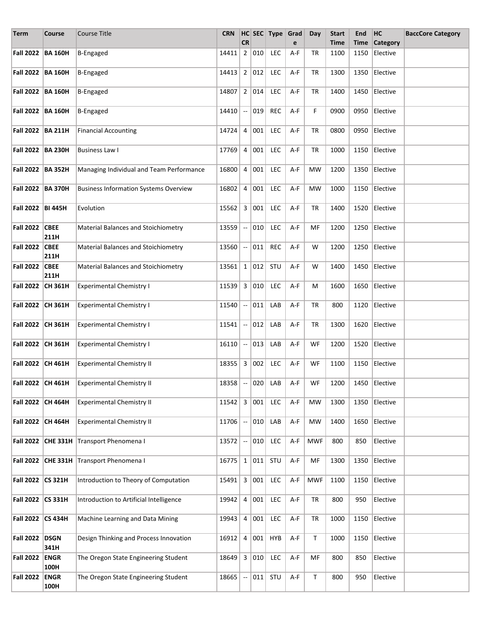| Term              | Course              | <b>Course Title</b>                          | <b>CRN</b>        |                                               |     | HC SEC Type Grad |         | Day        | <b>Start</b> | End  | HC                          | <b>BaccCore Category</b> |
|-------------------|---------------------|----------------------------------------------|-------------------|-----------------------------------------------|-----|------------------|---------|------------|--------------|------|-----------------------------|--------------------------|
|                   |                     |                                              |                   | <b>CR</b>                                     |     |                  | e       |            | <b>Time</b>  |      | Time Category               |                          |
| Fall 2022 BA 160H |                     | <b>B-Engaged</b>                             | 14411             | $\overline{2}$                                | 010 | <b>LEC</b>       | A-F     | TR         | 1100         | 1150 | Elective                    |                          |
| Fall 2022 BA 160H |                     | <b>B-Engaged</b>                             | 14413             | $\overline{2}$                                | 012 | <b>LEC</b>       | A-F     | <b>TR</b>  | 1300         | 1350 | Elective                    |                          |
| Fall 2022 BA 160H |                     | <b>B-Engaged</b>                             | 14807             | 2                                             | 014 | <b>LEC</b>       | A-F     | TR         | 1400         | 1450 | Elective                    |                          |
| Fall 2022 BA 160H |                     | B-Engaged                                    | 14410             | $\overline{\phantom{a}}$                      | 019 | <b>REC</b>       | A-F     | F.         | 0900         | 0950 | Elective                    |                          |
| Fall 2022 BA 211H |                     | <b>Financial Accounting</b>                  | 14724             | $\overline{4}$                                | 001 | <b>LEC</b>       | A-F     | TR         | 0800         | 0950 | Elective                    |                          |
| Fall 2022 BA 230H |                     | <b>Business Law I</b>                        | 17769             | 4                                             | 001 | LEC              | A-F     | <b>TR</b>  | 1000         | 1150 | Elective                    |                          |
| Fall 2022 BA 352H |                     | Managing Individual and Team Performance     | 16800   4         |                                               | 001 | <b>LEC</b>       | A-F     | <b>MW</b>  | 1200         |      | 1350 Elective               |                          |
| Fall 2022 BA 370H |                     | <b>Business Information Systems Overview</b> | $16802$ 4         |                                               | 001 | <b>LEC</b>       | A-F     | <b>MW</b>  | 1000         | 1150 | Elective                    |                          |
| Fall 2022 BI 445H |                     | Evolution                                    | 15562             | 3                                             | 001 | LEC              | A-F     | TR         | 1400         | 1520 | Elective                    |                          |
| <b>Fall 2022</b>  | <b>CBEE</b><br>211H | <b>Material Balances and Stoichiometry</b>   | 13559             | $\overline{\phantom{a}}$                      | 010 | LEC              | A-F     | MF         | 1200         | 1250 | Elective                    |                          |
| <b>Fall 2022</b>  | <b>CBEE</b><br>211H | Material Balances and Stoichiometry          | 13560             | $\overline{\phantom{a}}$                      | 011 | <b>REC</b>       | A-F     | W          | 1200         | 1250 | Elective                    |                          |
| <b>Fall 2022</b>  | <b>CBEE</b><br>211H | Material Balances and Stoichiometry          | 13561             | $1\vert$                                      | 012 | STU              | A-F     | W          | 1400         | 1450 | Elective                    |                          |
| Fall 2022 CH 361H |                     | <b>Experimental Chemistry I</b>              | 11539             | $\mathbf{3}$                                  | 010 | LEC              | A-F     | M          | 1600         | 1650 | Elective                    |                          |
| Fall 2022 CH 361H |                     | <b>Experimental Chemistry I</b>              | 11540             | 4                                             | 011 | LAB              | A-F     | TR         | 800          | 1120 | Elective                    |                          |
| Fall 2022 CH 361H |                     | <b>Experimental Chemistry I</b>              | 11541             | $\mathord{\hspace{1pt}\text{--}\hspace{1pt}}$ | 012 | LAB              | A-F     | <b>TR</b>  | 1300         | 1620 | Elective                    |                          |
| Fall 2022 CH 361H |                     | <b>Experimental Chemistry I</b>              | $16110$ -         |                                               | 013 | LAB              | A-F     | WF         | 1200         | 1520 | Elective                    |                          |
| Fall 2022 CH 461H |                     | <b>Experimental Chemistry II</b>             | 18355             | 3 <sup>1</sup>                                | 002 | <b>LEC</b>       | A-F     | WF         | 1100         |      | 1150 Elective               |                          |
|                   | Fall 2022 CH 461H   | Experimental Chemistry II                    | $18358$ - 020 LAB |                                               |     |                  | $ $ A-F |            |              |      | WF   1200   1450   Elective |                          |
| Fall 2022 CH 464H |                     | <b>Experimental Chemistry II</b>             | 11542             | $\mathbf{3}$                                  | 001 | LEC              | A-F     | MW         | 1300         | 1350 | Elective                    |                          |
| Fall 2022 CH 464H |                     | <b>Experimental Chemistry II</b>             | 11706             | $\overline{\phantom{a}}$                      | 010 | LAB              | A-F     | MW         | 1400         | 1650 | Elective                    |                          |
|                   | Fall 2022 CHE 331H  | Transport Phenomena I                        | 13572             | $\overline{\phantom{a}}$                      | 010 | LEC              | A-F     | <b>MWF</b> | 800          | 850  | Elective                    |                          |
|                   | Fall 2022 CHE 331H  | Transport Phenomena I                        | 16775             | $\mathbf{1}$                                  | 011 | STU              | A-F     | MF         | 1300         | 1350 | Elective                    |                          |
| Fall 2022 CS 321H |                     | Introduction to Theory of Computation        | 15491             | 3                                             | 001 | LEC              | A-F     | <b>MWF</b> | 1100         | 1150 | Elective                    |                          |
| Fall 2022 CS 331H |                     | Introduction to Artificial Intelligence      | $19942 \mid 4$    |                                               | 001 | <b>LEC</b>       | A-F     | TR         | 800          | 950  | Elective                    |                          |
| Fall 2022 CS 434H |                     | Machine Learning and Data Mining             | 19943             | $\overline{4}$                                | 001 | LEC              | A-F     | TR         | 1000         | 1150 | Elective                    |                          |
| <b>Fall 2022</b>  | <b>DSGN</b><br>341H | Design Thinking and Process Innovation       | 16912             | $\overline{4}$                                | 001 | <b>HYB</b>       | A-F     | T          | 1000         | 1150 | Elective                    |                          |
| <b>Fall 2022</b>  | <b>ENGR</b><br>100H | The Oregon State Engineering Student         | 18649             | 3                                             | 010 | LEC              | A-F     | MF         | 800          | 850  | Elective                    |                          |
| <b>Fall 2022</b>  | <b>ENGR</b><br>100H | The Oregon State Engineering Student         | 18665             | $\overline{\phantom{a}}$                      | 011 | STU              | A-F     | Τ          | 800          | 950  | Elective                    |                          |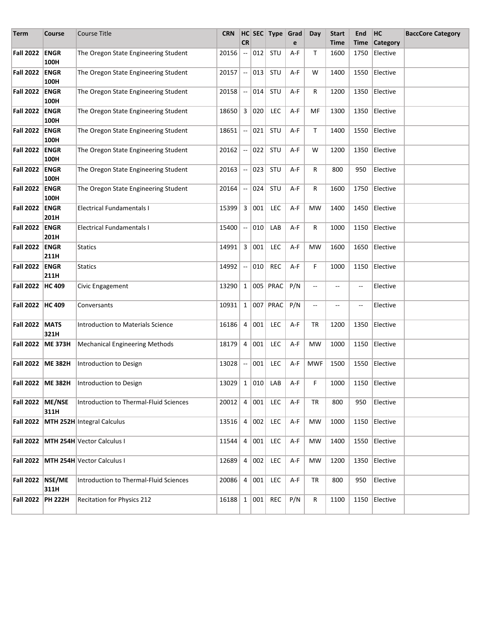| <b>Term</b>           | Course              | Course Title                           | <b>CRN</b>              |                          |     | HC SEC Type Grad |       | Day                      | <b>Start</b>   | End                      | HC              | <b>BaccCore Category</b> |
|-----------------------|---------------------|----------------------------------------|-------------------------|--------------------------|-----|------------------|-------|--------------------------|----------------|--------------------------|-----------------|--------------------------|
|                       |                     |                                        |                         | <b>CR</b>                |     |                  | e     |                          | <b>Time</b>    | Time                     | <b>Category</b> |                          |
| Fall 2022             | <b>ENGR</b><br>100H | The Oregon State Engineering Student   | 20156                   | --                       | 012 | STU              | A-F   | T                        | 1600           | 1750                     | Elective        |                          |
| <b>Fall 2022</b>      | <b>ENGR</b><br>100H | The Oregon State Engineering Student   | 20157                   | $\overline{\phantom{a}}$ | 013 | STU              | A-F   | W                        | 1400           | 1550                     | Elective        |                          |
| <b>Fall 2022</b>      | <b>ENGR</b><br>100H | The Oregon State Engineering Student   | 20158                   | $\overline{\phantom{a}}$ | 014 | STU              | A-F   | R                        | 1200           | 1350                     | Elective        |                          |
| <b>Fall 2022</b>      | <b>ENGR</b><br>100H | The Oregon State Engineering Student   | 18650                   | 3                        | 020 | LEC              | A-F   | MF                       | 1300           | 1350                     | Elective        |                          |
| <b>Fall 2022</b>      | <b>ENGR</b><br>100H | The Oregon State Engineering Student   | 18651                   | щ,                       | 021 | STU              | $A-F$ | $\mathsf{T}$             | 1400           | 1550                     | Elective        |                          |
| <b>Fall 2022</b>      | <b>ENGR</b><br>100H | The Oregon State Engineering Student   | 20162                   | $\overline{\phantom{a}}$ | 022 | STU              | A-F   | W                        | 1200           | 1350                     | Elective        |                          |
| Fall 2022             | <b>ENGR</b><br>100H | The Oregon State Engineering Student   | 20163                   | $\overline{\phantom{a}}$ | 023 | STU              | A-F   | R                        | 800            | 950                      | Elective        |                          |
| Fall 2022             | <b>ENGR</b><br>100H | The Oregon State Engineering Student   | 20164                   | $\overline{\phantom{a}}$ | 024 | STU              | A-F   | R                        | 1600           | 1750                     | Elective        |                          |
| Fall 2022             | <b>ENGR</b><br>201H | <b>Electrical Fundamentals I</b>       | 15399                   | 3                        | 001 | <b>LEC</b>       | A-F   | MW                       | 1400           | 1450                     | Elective        |                          |
| Fall 2022             | <b>ENGR</b><br>201H | Electrical Fundamentals I              | 15400                   | --                       | 010 | LAB              | A-F   | R                        | 1000           | 1150                     | Elective        |                          |
| <b>Fall 2022</b>      | <b>ENGR</b><br>211H | Statics                                | 14991                   | 3                        | 001 | LEC              | A-F   | <b>MW</b>                | 1600           | 1650                     | Elective        |                          |
| <b>Fall 2022</b>      | <b>ENGR</b><br>211H | <b>Statics</b>                         | 14992                   | --                       | 010 | <b>REC</b>       | A-F   | F                        | 1000           | 1150                     | Elective        |                          |
| <b>Fall 2022</b>      | <b>HC 409</b>       | Civic Engagement                       | 13290                   | $\mathbf{1}$             |     | 005 PRAC         | P/N   | $-$                      | $-$            | $\overline{\phantom{a}}$ | Elective        |                          |
| Fall 2022   HC 409    |                     | Conversants                            | 10931                   | $\mathbf{1}$             |     | 007 PRAC         | P/N   | $\overline{\phantom{a}}$ | $\overline{a}$ | $\overline{\phantom{a}}$ | Elective        |                          |
| <b>Fall 2022 MATS</b> | 321H                | Introduction to Materials Science      | 16186                   | 4                        | 001 | LEC              | A-F   | <b>TR</b>                | 1200           | 1350                     | Elective        |                          |
| Fall 2022  ME 373H    |                     | <b>Mechanical Engineering Methods</b>  | 18179                   | $\overline{4}$           | 001 | <b>LEC</b>       | A-F   | MW                       | 1000           | 1150                     | Elective        |                          |
| Fall 2022             | <b>ME 382H</b>      | Introduction to Design                 | 13028                   | $\overline{\phantom{a}}$ | 001 | <b>LEC</b>       | A-F   | <b>MWF</b>               | 1500           | 1550                     | Elective        |                          |
|                       | Fall 2022   ME 382H | Introduction to Design                 | $13029$   1   010   LAB |                          |     |                  | A-F   | F                        | 1000           |                          | 1150 Elective   |                          |
| Fall 2022 ME/NSE      | 311H                | Introduction to Thermal-Fluid Sciences | 20012                   | 4                        | 001 | LEC              | A-F   | TR                       | 800            | 950                      | Elective        |                          |
|                       |                     | Fall 2022   MTH 252H Integral Calculus | $13516 \mid 4$          |                          | 002 | LEC              | A-F   | MW                       | 1000           |                          | 1150 Elective   |                          |
|                       |                     | Fall 2022   MTH 254H Vector Calculus I | 11544                   | 4                        | 001 | LEC              | A-F   | <b>MW</b>                | 1400           |                          | 1550 Elective   |                          |
|                       |                     | Fall 2022   MTH 254H Vector Calculus I | 12689                   | 4                        | 002 | <b>LEC</b>       | A-F   | MW                       | 1200           |                          | 1350 Elective   |                          |
| Fall 2022   NSE/ME    | 311H                | Introduction to Thermal-Fluid Sciences | 20086                   | $\overline{4}$           | 001 | <b>LEC</b>       | A-F   | TR                       | 800            | 950                      | Elective        |                          |
| Fall 2022             | <b>PH 222H</b>      | Recitation for Physics 212             | $16188$ 1               |                          | 001 | REC              | P/N   | R                        | 1100           |                          | 1150 Elective   |                          |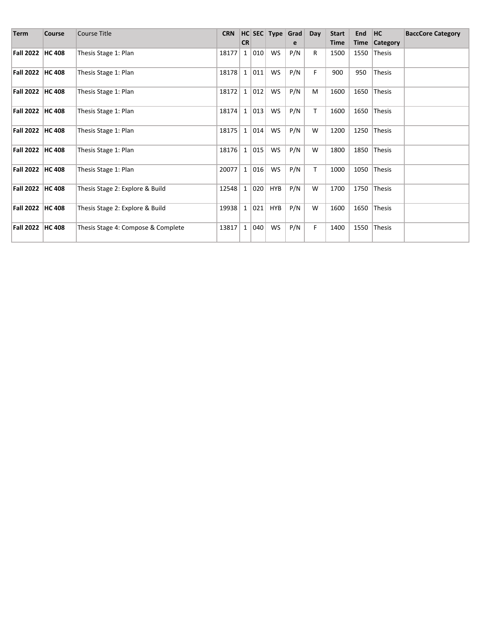| <b>Term</b>        | <b>Course</b> | <b>Course Title</b>                | <b>CRN</b> |              |     |            | HC SEC Type Grad | Day          | <b>Start</b> | End  | HC              | <b>BaccCore Category</b> |
|--------------------|---------------|------------------------------------|------------|--------------|-----|------------|------------------|--------------|--------------|------|-----------------|--------------------------|
|                    |               |                                    |            | <b>CR</b>    |     |            | e                |              | <b>Time</b>  | Time | <b>Category</b> |                          |
| Fall 2022   HC 408 |               | Thesis Stage 1: Plan               | 18177      | $\mathbf{1}$ | 010 | WS         | P/N              | $\mathsf{R}$ | 1500         | 1550 | <b>Thesis</b>   |                          |
| Fall 2022   HC 408 |               | Thesis Stage 1: Plan               | 18178      | $\mathbf{1}$ | 011 | <b>WS</b>  | P/N              | F.           | 900          | 950  | Thesis          |                          |
| Fall 2022   HC 408 |               | Thesis Stage 1: Plan               | 18172      | $\mathbf{1}$ | 012 | <b>WS</b>  | P/N              | M            | 1600         | 1650 | Thesis          |                          |
| Fall 2022   HC 408 |               | Thesis Stage 1: Plan               | 18174      | $\mathbf{1}$ | 013 | <b>WS</b>  | P/N              | T.           | 1600         | 1650 | <b>Thesis</b>   |                          |
| Fall 2022 HC 408   |               | Thesis Stage 1: Plan               | 18175      | $\mathbf{1}$ | 014 | <b>WS</b>  | P/N              | W            | 1200         | 1250 | <b>Thesis</b>   |                          |
| Fall 2022   HC 408 |               | Thesis Stage 1: Plan               | 18176      | $\mathbf{1}$ | 015 | <b>WS</b>  | P/N              | W            | 1800         | 1850 | <b>Thesis</b>   |                          |
| Fall 2022 HC 408   |               | Thesis Stage 1: Plan               | 20077      | $\mathbf{1}$ | 016 | <b>WS</b>  | P/N              | T            | 1000         | 1050 | Thesis          |                          |
| Fall 2022   HC 408 |               | Thesis Stage 2: Explore & Build    | 12548      | $\mathbf{1}$ | 020 | <b>HYB</b> | P/N              | W            | 1700         | 1750 | <b>Thesis</b>   |                          |
| Fall 2022   HC 408 |               | Thesis Stage 2: Explore & Build    | 19938      | $\mathbf{1}$ | 021 | HYB        | P/N              | W            | 1600         | 1650 | <b>Thesis</b>   |                          |
| Fall 2022   HC 408 |               | Thesis Stage 4: Compose & Complete | 13817      | $\mathbf{1}$ | 040 | <b>WS</b>  | P/N              | F            | 1400         | 1550 | <b>Thesis</b>   |                          |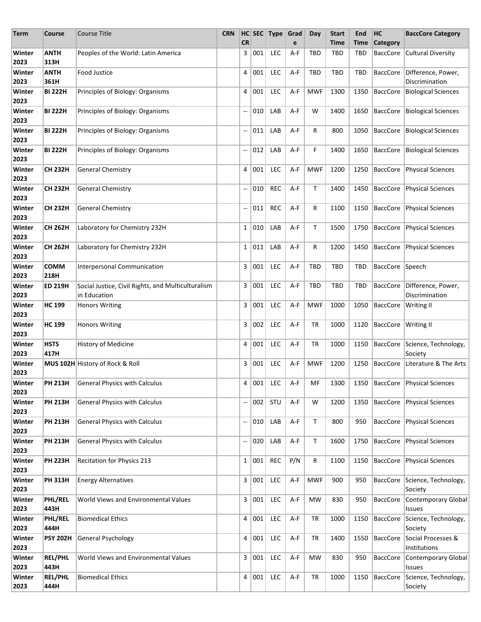| Term           | Course                 | <b>Course Title</b>                                                | <b>CRN</b> |                          |         | HC SEC Type | Grad                           | Day        | <b>Start</b> | End        | HC                    | <b>BaccCore Category</b>                      |
|----------------|------------------------|--------------------------------------------------------------------|------------|--------------------------|---------|-------------|--------------------------------|------------|--------------|------------|-----------------------|-----------------------------------------------|
|                |                        |                                                                    |            | <b>CR</b>                |         |             | e                              |            | Time         | Time       | <b>Category</b>       |                                               |
| Winter<br>2023 | <b>ANTH</b><br>313H    | Peoples of the World: Latin America                                |            | 3                        | 001     | <b>LEC</b>  | A-F                            | TBD        | TBD          | TBD        | <b>BaccCore</b>       | <b>Cultural Diversity</b>                     |
| Winter<br>2023 | ANTH<br>361H           | <b>Food Justice</b>                                                |            | 4                        | 001     | <b>LEC</b>  | A-F                            | <b>TBD</b> | <b>TBD</b>   | TBD        | <b>BaccCore</b>       | Difference, Power,<br>Discrimination          |
| Winter<br>2023 | <b>BI 222H</b>         | Principles of Biology: Organisms                                   |            | 4                        | 001     | <b>LEC</b>  | A-F                            | <b>MWF</b> | 1300         | 1350       | BaccCore              | <b>Biological Sciences</b>                    |
| Winter<br>2023 | <b>BI 222H</b>         | Principles of Biology: Organisms                                   |            | --                       | 010     | LAB         | A-F                            | W          | 1400         | 1650       |                       | BaccCore   Biological Sciences                |
| Winter<br>2023 | <b>BI 222H</b>         | Principles of Biology: Organisms                                   |            | $\overline{\phantom{a}}$ | 011     | LAB         | A-F                            | R          | 800          | 1050       |                       | BaccCore   Biological Sciences                |
| Winter<br>2023 | <b>BI 222H</b>         | Principles of Biology: Organisms                                   |            | $\overline{\phantom{a}}$ | 012     | LAB         | A-F                            | F          | 1400         | 1650       |                       | BaccCore   Biological Sciences                |
| Winter<br>2023 | <b>CH 232H</b>         | <b>General Chemistry</b>                                           |            | 4                        | 001     | <b>LEC</b>  | A-F                            | <b>MWF</b> | 1200         | 1250       |                       | BaccCore   Physical Sciences                  |
| Winter<br>2023 | <b>CH 232H</b>         | <b>General Chemistry</b>                                           |            | $\overline{\phantom{a}}$ | 010     | <b>REC</b>  | A-F                            | Τ          | 1400         | 1450       |                       | BaccCore   Physical Sciences                  |
| Winter<br>2023 | <b>CH 232H</b>         | <b>General Chemistry</b>                                           |            | $\overline{\phantom{a}}$ | 011     | <b>REC</b>  | A-F                            | R          | 1100         | 1150       |                       | BaccCore   Physical Sciences                  |
| Winter<br>2023 | <b>CH 262H</b>         | Laboratory for Chemistry 232H                                      |            | 1                        | 010     | LAB         | A-F                            | T.         | 1500         | 1750       | <b>BaccCore</b>       | <b>Physical Sciences</b>                      |
| Winter<br>2023 | <b>CH 262H</b>         | Laboratory for Chemistry 232H                                      |            |                          | 1   011 | LAB         | A-F                            | R          | 1200         | 1450       |                       | BaccCore Physical Sciences                    |
| Winter<br>2023 | <b>COMM</b><br>218H    | <b>Interpersonal Communication</b>                                 |            | 3                        | 001     | <b>LEC</b>  | A-F                            | <b>TBD</b> | <b>TBD</b>   | TBD        | BaccCore Speech       |                                               |
| Winter<br>2023 | <b>ED 219H</b>         | Social Justice, Civil Rights, and Multiculturalism<br>in Education |            | 3                        | 001     | <b>LEC</b>  | A-F                            | <b>TBD</b> | TBD          | <b>TBD</b> |                       | BaccCore Difference, Power,<br>Discrimination |
| Winter<br>2023 | <b>HC 199</b>          | <b>Honors Writing</b>                                              |            | 3                        | 001     | <b>LEC</b>  | A-F                            | <b>MWF</b> | 1000         | 1050       | <b>BaccCore</b>       | Writing II                                    |
| Winter<br>2023 | <b>HC 199</b>          | <b>Honors Writing</b>                                              |            | 3                        | 002     | <b>LEC</b>  | A-F                            | TR         | 1000         | 1120       | BaccCore   Writing II |                                               |
| Winter<br>2023 | <b>HSTS</b><br>417H    | History of Medicine                                                |            | 4                        | 001     | <b>LEC</b>  | A-F                            | TR         | 1000         | 1150       |                       | BaccCore Science, Technology,<br>Society      |
| Winter<br>2023 |                        | MUS 102H History of Rock & Roll                                    |            | 3                        | 001     | <b>LEC</b>  | A-F                            | <b>MWF</b> | 1200         | 1250       | <b>BaccCore</b>       | Literature & The Arts                         |
| Winter<br>2023 | <b>PH 213H</b>         | General Physics with Calculus                                      |            | 4                        | 001     | LEC         | $\mathsf{A}\text{-}\mathsf{F}$ | <b>MF</b>  |              |            |                       | 1300   1350   BaccCore   Physical Sciences    |
| Winter<br>2023 | <b>PH 213H</b>         | <b>General Physics with Calculus</b>                               |            | --                       | 002     | STU         | A-F                            | W          | 1200         | 1350       |                       | BaccCore   Physical Sciences                  |
| Winter<br>2023 | <b>PH 213H</b>         | <b>General Physics with Calculus</b>                               |            | --                       | 010     | LAB         | A-F                            | Τ          | 800          | 950        | <b>BaccCore</b>       | Physical Sciences                             |
| Winter<br>2023 | <b>PH 213H</b>         | <b>General Physics with Calculus</b>                               |            | $\overline{\phantom{a}}$ | 020     | LAB         | A-F                            | Τ          | 1600         | 1750       | <b>BaccCore</b>       | Physical Sciences                             |
| Winter<br>2023 | <b>PH 223H</b>         | Recitation for Physics 213                                         |            | $1\vert$                 | 001     | <b>REC</b>  | P/N                            | R          | 1100         | 1150       |                       | BaccCore   Physical Sciences                  |
| Winter<br>2023 | <b>PH 313H</b>         | <b>Energy Alternatives</b>                                         |            |                          | 3   001 | <b>LEC</b>  | A-F                            | <b>MWF</b> | 900          | 950        |                       | BaccCore Science, Technology,<br>Society      |
| Winter<br>2023 | PHL/REL<br>443H        | World Views and Environmental Values                               |            |                          | 3   001 | <b>LEC</b>  | A-F                            | MW         | 830          | 950        | <b>BaccCore</b>       | Contemporary Global<br>Issues                 |
| Winter<br>2023 | PHL/REL<br>444H        | <b>Biomedical Ethics</b>                                           |            | 4                        | 001     | <b>LEC</b>  | A-F                            | TR         | 1000         | 1150       | BaccCore              | Science, Technology,<br>Society               |
| Winter<br>2023 | <b>PSY 202H</b>        | <b>General Psychology</b>                                          |            | 4                        | 001     | <b>LEC</b>  | A-F                            | TR         | 1400         | 1550       | BaccCore              | Social Processes &<br>Institutions            |
| Winter<br>2023 | <b>REL/PHL</b><br>443H | World Views and Environmental Values                               |            | 3                        | 001     | <b>LEC</b>  | A-F                            | MW         | 830          | 950        | BaccCore              | Contemporary Global<br>Issues                 |
| Winter<br>2023 | <b>REL/PHL</b><br>444H | <b>Biomedical Ethics</b>                                           |            | 4                        | 001     | <b>LEC</b>  | A-F                            | TR         | 1000         | 1150       | BaccCore              | Science, Technology,<br>Society               |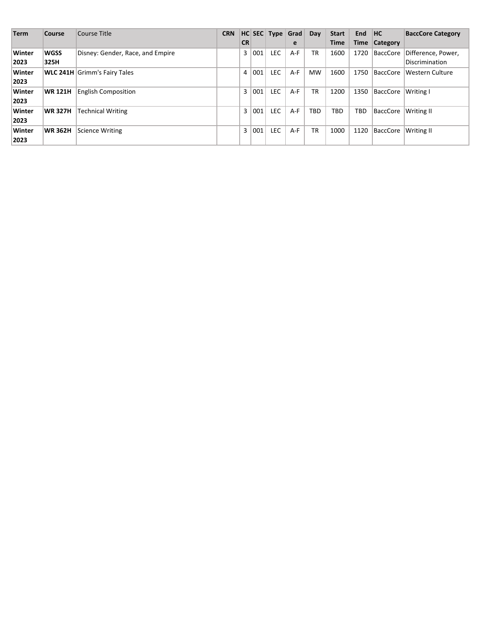| <b>Term</b> | Course         | Course Title                        | <b>CRN</b> |           |     |     | HC SEC Type Grad | Day       | <b>Start</b> | <b>End</b>  | <b>HC</b>       | <b>BaccCore Category</b> |
|-------------|----------------|-------------------------------------|------------|-----------|-----|-----|------------------|-----------|--------------|-------------|-----------------|--------------------------|
|             |                |                                     |            | <b>CR</b> |     |     | e                |           | <b>Time</b>  | <b>Time</b> | <b>Category</b> |                          |
| Winter      | <b>WGSS</b>    | Disney: Gender, Race, and Empire    |            | 3         | 001 | LEC | $A-F$            | <b>TR</b> | 1600         | 1720        | BaccCore        | Difference, Power,       |
| 2023        | 325H           |                                     |            |           |     |     |                  |           |              |             |                 | Discrimination           |
| Winter      |                | <b>WLC 241H</b> Grimm's Fairy Tales |            | 4         | 001 | LEC | $A-F$            | <b>MW</b> | 1600         | 1750        | BaccCore        | Western Culture          |
| 2023        |                |                                     |            |           |     |     |                  |           |              |             |                 |                          |
| Winter      | <b>WR 121H</b> | <b>English Composition</b>          |            | 3         | 001 | LEC | $A-F$            | TR        | 1200         | 1350        | BaccCore        | Writing I                |
| 2023        |                |                                     |            |           |     |     |                  |           |              |             |                 |                          |
| Winter      | <b>WR 327H</b> | <b>Technical Writing</b>            |            | 3         | 001 | LEC | $A-F$            | TBD       | TBD          | <b>TBD</b>  | BaccCore        | Writing II               |
| 2023        |                |                                     |            |           |     |     |                  |           |              |             |                 |                          |
| Winter      | <b>WR 362H</b> | <b>Science Writing</b>              |            | 3         | 001 | LEC | $A-F$            | <b>TR</b> | 1000         | 1120        | BaccCore        | Writing II               |
| 2023        |                |                                     |            |           |     |     |                  |           |              |             |                 |                          |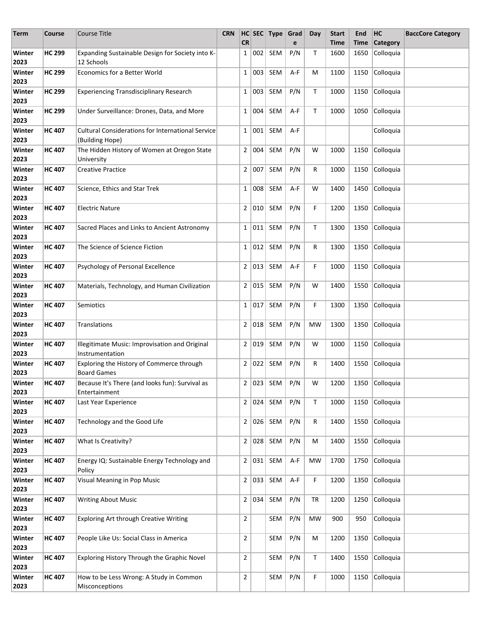| Term           | Course        | <b>Course Title</b>                                                         | <b>CRN</b> |                |         | HC SEC Type Grad |     | Day          | <b>Start</b> | End  | HC              | <b>BaccCore Category</b> |
|----------------|---------------|-----------------------------------------------------------------------------|------------|----------------|---------|------------------|-----|--------------|--------------|------|-----------------|--------------------------|
|                |               |                                                                             |            | <b>CR</b>      |         |                  | e   |              | Time         | Time | <b>Category</b> |                          |
| Winter<br>2023 | <b>HC 299</b> | Expanding Sustainable Design for Society into K-<br>12 Schools              |            | 1              | 002     | SEM              | P/N | Т            | 1600         | 1650 | Colloquia       |                          |
| Winter<br>2023 | <b>HC 299</b> | <b>Economics for a Better World</b>                                         |            | $\mathbf{1}$   | 003     | SEM              | A-F | М            | 1100         | 1150 | Colloquia       |                          |
| Winter<br>2023 | <b>HC 299</b> | <b>Experiencing Transdisciplinary Research</b>                              |            | $\mathbf{1}$   | 003     | SEM              | P/N | T            | 1000         | 1150 | Colloquia       |                          |
| Winter<br>2023 | <b>HC 299</b> | Under Surveillance: Drones, Data, and More                                  |            | $\mathbf{1}$   | 004     | SEM              | A-F | $\mathsf{T}$ | 1000         | 1050 | Colloquia       |                          |
| Winter<br>2023 | <b>HC 407</b> | <b>Cultural Considerations for International Service</b><br>(Building Hope) |            | $\mathbf{1}$   | 001     | SEM              | A-F |              |              |      | Colloquia       |                          |
| Winter<br>2023 | <b>HC 407</b> | The Hidden History of Women at Oregon State<br>University                   |            | $\mathbf{2}$   | 004     | SEM              | P/N | W            | 1000         | 1150 | Colloquia       |                          |
| Winter<br>2023 | <b>HC 407</b> | <b>Creative Practice</b>                                                    |            | $\overline{2}$ | 007     | SEM              | P/N | R            | 1000         | 1150 | Colloquia       |                          |
| Winter<br>2023 | <b>HC 407</b> | Science, Ethics and Star Trek                                               |            | $\mathbf{1}$   | 008     | SEM              | A-F | W            | 1400         | 1450 | Colloquia       |                          |
| Winter<br>2023 | <b>HC 407</b> | <b>Electric Nature</b>                                                      |            | $\overline{2}$ | 010     | SEM              | P/N | F            | 1200         | 1350 | Colloquia       |                          |
| Winter<br>2023 | <b>HC 407</b> | Sacred Places and Links to Ancient Astronomy                                |            | $\mathbf{1}$   | 011     | SEM              | P/N | Т            | 1300         | 1350 | Colloquia       |                          |
| Winter<br>2023 | <b>HC 407</b> | The Science of Science Fiction                                              |            | $\mathbf{1}$   | 012     | SEM              | P/N | R            | 1300         | 1350 | Colloquia       |                          |
| Winter<br>2023 | <b>HC 407</b> | Psychology of Personal Excellence                                           |            | $\overline{2}$ | 013     | SEM              | A-F | F            | 1000         | 1150 | Colloquia       |                          |
| Winter<br>2023 | <b>HC 407</b> | Materials, Technology, and Human Civilization                               |            | $\overline{2}$ | 015     | SEM              | P/N | W            | 1400         | 1550 | Colloquia       |                          |
| Winter<br>2023 | <b>HC 407</b> | Semiotics                                                                   |            | 1              | 017     | SEM              | P/N | F            | 1300         | 1350 | Colloquia       |                          |
| Winter<br>2023 | <b>HC 407</b> | Translations                                                                |            | 2 <sup>1</sup> | 018     | <b>SEM</b>       | P/N | <b>MW</b>    | 1300         | 1350 | Colloquia       |                          |
| Winter<br>2023 | <b>HC 407</b> | Illegitimate Music: Improvisation and Original<br>Instrumentation           |            | $\mathbf{2}$   | 019     | SEM              | P/N | W            | 1000         | 1150 | Colloquia       |                          |
| Winter<br>2023 | <b>HC 407</b> | Exploring the History of Commerce through<br><b>Board Games</b>             |            |                | 2 022   | SEM              | P/N | R            | 1400         | 1550 | Colloquia       |                          |
| Winter<br>2023 | <b>HC 407</b> | Because It's There (and looks fun): Survival as<br>Entertainment            |            |                |         | $2 023 $ SEM     | P/N | W            | 1200 1350    |      | Colloquia       |                          |
| Winter<br>2023 | <b>HC 407</b> | Last Year Experience                                                        |            |                | 2   024 | SEM              | P/N | T            | 1000         | 1150 | Colloquia       |                          |
| Winter<br>2023 | <b>HC 407</b> | Technology and the Good Life                                                |            | 2 <sup>2</sup> |         | $026$ SEM        | P/N | R            | 1400         | 1550 | Colloquia       |                          |
| Winter<br>2023 | <b>HC 407</b> | What Is Creativity?                                                         |            |                | 2   028 | SEM              | P/N | M            | 1400         | 1550 | Colloquia       |                          |
| Winter<br>2023 | <b>HC 407</b> | Energy IQ: Sustainable Energy Technology and<br>Policy                      |            | 2              | 031     | SEM              | A-F | <b>MW</b>    | 1700         | 1750 | Colloquia       |                          |
| Winter<br>2023 | <b>HC 407</b> | Visual Meaning in Pop Music                                                 |            |                | 2   033 | SEM              | A-F | F            | 1200         | 1350 | Colloquia       |                          |
| Winter<br>2023 | <b>HC 407</b> | <b>Writing About Music</b>                                                  |            | 2 <sup>2</sup> | 034     | SEM              | P/N | <b>TR</b>    | 1200         | 1250 | Colloquia       |                          |
| Winter<br>2023 | <b>HC 407</b> | Exploring Art through Creative Writing                                      |            | 2              |         | SEM              | P/N | MW           | 900          | 950  | Colloquia       |                          |
| Winter<br>2023 | <b>HC 407</b> | People Like Us: Social Class in America                                     |            | 2              |         | SEM              | P/N | М            | 1200         | 1350 | Colloquia       |                          |
| Winter<br>2023 | <b>HC 407</b> | Exploring History Through the Graphic Novel                                 |            | $\overline{2}$ |         | SEM              | P/N | T            | 1400         | 1550 | Colloquia       |                          |
| Winter<br>2023 | <b>HC 407</b> | How to be Less Wrong: A Study in Common<br>Misconceptions                   |            | 2              |         | SEM              | P/N | F            | 1000         | 1150 | Colloquia       |                          |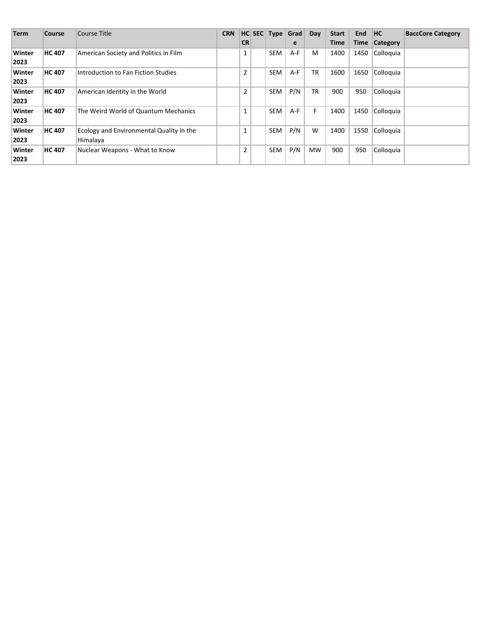| <b>Term</b>    | <b>Course</b> | Course Title                                                | <b>CRN</b> |                | $ HC $ SEC   Type   Grad |       | Day       | <b>Start</b> | <b>End</b> | <b>HC</b>       | <b>BaccCore Category</b> |
|----------------|---------------|-------------------------------------------------------------|------------|----------------|--------------------------|-------|-----------|--------------|------------|-----------------|--------------------------|
|                |               |                                                             |            | <b>CR</b>      |                          | e     |           | <b>Time</b>  | Time       | <b>Category</b> |                          |
| Winter<br>2023 | <b>HC 407</b> | American Society and Politics in Film                       |            | 1              | <b>SEM</b>               | $A-F$ | M         | 1400         | 1450       | Colloquia       |                          |
| Winter<br>2023 | <b>HC 407</b> | Introduction to Fan Fiction Studies                         |            | $\overline{2}$ | <b>SEM</b>               | $A-F$ | <b>TR</b> | 1600         | 1650       | Colloquia       |                          |
| Winter<br>2023 | <b>HC 407</b> | American Identity in the World                              |            | 2              | <b>SEM</b>               | P/N   | <b>TR</b> | 900          | 950        | Colloquia       |                          |
| Winter<br>2023 | <b>HC 407</b> | The Weird World of Quantum Mechanics                        |            | 1              | <b>SEM</b>               | $A-F$ | F         | 1400         | 1450       | Colloquia       |                          |
| Winter<br>2023 | <b>HC 407</b> | <b>Ecology and Environmental Quality in the</b><br>Himalaya |            | $\mathbf{1}$   | SEM                      | P/N   | W         | 1400         | 1550       | Colloquia       |                          |
| Winter<br>2023 | <b>HC 407</b> | Nuclear Weapons - What to Know                              |            | $\overline{2}$ | <b>SEM</b>               | P/N   | <b>MW</b> | 900          | 950        | Colloquia       |                          |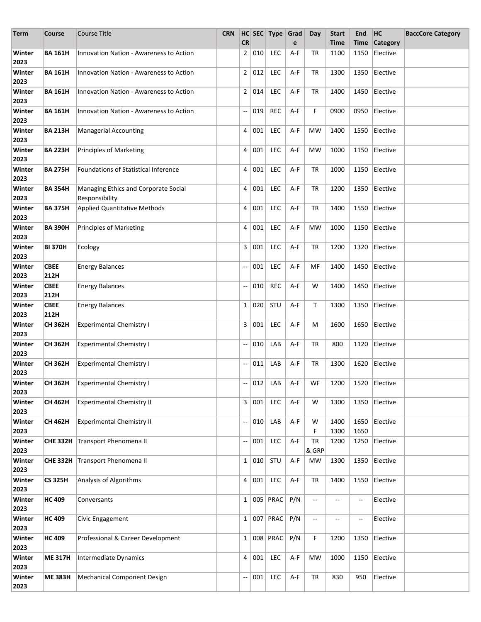| Term           | Course              | <b>Course Title</b>                                    | <b>CRN</b> |                          |                     | HC SEC Type Grad |     | Day                      | <b>Start</b> | End               | HC                                | <b>BaccCore Category</b> |
|----------------|---------------------|--------------------------------------------------------|------------|--------------------------|---------------------|------------------|-----|--------------------------|--------------|-------------------|-----------------------------------|--------------------------|
|                |                     |                                                        |            | <b>CR</b>                |                     |                  | e   |                          | <b>Time</b>  | Time              | Category                          |                          |
| Winter<br>2023 | <b>BA 161H</b>      | Innovation Nation - Awareness to Action                |            | 2 <sup>1</sup>           | $\vert$ 010 $\vert$ | LEC              | A-F | TR                       | 1100         | 1150              | Elective                          |                          |
| Winter<br>2023 | <b>BA 161H</b>      | <b>Innovation Nation - Awareness to Action</b>         |            |                          | 2 012               | LEC              | A-F | TR                       | 1300         | 1350              | Elective                          |                          |
| Winter<br>2023 | <b>BA 161H</b>      | <b>Innovation Nation - Awareness to Action</b>         |            |                          | 2   014             | LEC              | A-F | TR                       | 1400         | 1450              | Elective                          |                          |
| Winter<br>2023 | <b>BA 161H</b>      | <b>Innovation Nation - Awareness to Action</b>         |            | --                       | 019                 | <b>REC</b>       | A-F | F                        | 0900         | 0950              | Elective                          |                          |
| Winter<br>2023 | <b>BA 213H</b>      | <b>Managerial Accounting</b>                           |            | 4                        | 001                 | <b>LEC</b>       | A-F | <b>MW</b>                | 1400         | 1550              | Elective                          |                          |
| Winter<br>2023 | <b>BA 223H</b>      | <b>Principles of Marketing</b>                         |            | 4                        | 001                 | LEC              | A-F | <b>MW</b>                | 1000         | 1150              | Elective                          |                          |
| Winter<br>2023 | <b>BA 275H</b>      | Foundations of Statistical Inference                   |            | 4                        | 001                 | <b>LEC</b>       | A-F | TR                       | 1000         | 1150              | Elective                          |                          |
| Winter<br>2023 | <b>BA 354H</b>      | Managing Ethics and Corporate Social<br>Responsibility |            | 4                        | 001                 | <b>LEC</b>       | A-F | TR                       | 1200         | 1350              | Elective                          |                          |
| Winter<br>2023 | <b>BA 375H</b>      | <b>Applied Quantitative Methods</b>                    |            | 4                        | 001                 | LEC              | A-F | TR                       | 1400         | 1550              | Elective                          |                          |
| Winter<br>2023 | <b>BA 390H</b>      | <b>Principles of Marketing</b>                         |            | 4                        | 001                 | LEC              | A-F | MW                       | 1000         | 1150              | Elective                          |                          |
| Winter<br>2023 | <b>BI 370H</b>      | Ecology                                                |            | 3                        | 001                 | LEC              | A-F | TR                       | 1200         | 1320              | Elective                          |                          |
| Winter<br>2023 | <b>CBEE</b><br>212H | <b>Energy Balances</b>                                 |            | --                       | 001                 | LEC              | A-F | МF                       | 1400         | 1450              | Elective                          |                          |
| Winter<br>2023 | <b>CBEE</b><br>212H | <b>Energy Balances</b>                                 |            | $\overline{\phantom{a}}$ | 010                 | <b>REC</b>       | A-F | W                        | 1400         | 1450              | Elective                          |                          |
| Winter<br>2023 | <b>CBEE</b><br>212H | <b>Energy Balances</b>                                 |            | $1\vert$                 | 020                 | STU              | A-F | Т                        | 1300         | 1350              | Elective                          |                          |
| Winter<br>2023 | <b>CH 362H</b>      | <b>Experimental Chemistry I</b>                        |            |                          | 3   001             | LEC              | A-F | М                        | 1600         | 1650              | Elective                          |                          |
| Winter<br>2023 | <b>CH 362H</b>      | <b>Experimental Chemistry I</b>                        |            | --                       | 010                 | LAB              | A-F | TR                       | 800          | 1120              | Elective                          |                          |
| Winter<br>2023 | CH 362H             | <b>Experimental Chemistry I</b>                        |            | $\overline{\phantom{a}}$ | 011                 | LAB              | A-F | TR                       | 1300         | 1620              | Elective                          |                          |
| Winter<br>2023 | CH 362H             | Experimental Chemistry I                               |            |                          |                     |                  |     |                          |              |                   | 012 LAB A-F WF 1200 1520 Elective |                          |
| Winter<br>2023 | <b>CH 462H</b>      | <b>Experimental Chemistry II</b>                       |            | 3                        | 001                 | LEC              | A-F | W                        | 1300         | 1350              | Elective                          |                          |
| Winter<br>2023 | CH 462H             | <b>Experimental Chemistry II</b>                       |            | --                       | 010                 | LAB              | A-F | W<br>F                   | 1400<br>1300 | 1650<br>1650      | Elective                          |                          |
| Winter<br>2023 | <b>CHE 332H</b>     | Transport Phenomena II                                 |            | $\overline{\phantom{a}}$ | 001                 | LEC              | A-F | TR<br>& GRP              | 1200         | 1250              | Elective                          |                          |
| Winter<br>2023 | <b>CHE 332H</b>     | Transport Phenomena II                                 |            |                          | 1   010             | STU              | A-F | <b>MW</b>                | 1300         | 1350              | Elective                          |                          |
| Winter<br>2023 | <b>CS 325H</b>      | Analysis of Algorithms                                 |            |                          | 4   001             | LEC              | A-F | TR                       | 1400         | 1550              | Elective                          |                          |
| Winter<br>2023 | <b>HC 409</b>       | Conversants                                            |            |                          |                     | 1   005   PRAC   | P/N | --                       | --           | $\qquad \qquad -$ | Elective                          |                          |
| Winter<br>2023 | <b>HC 409</b>       | Civic Engagement                                       |            |                          |                     | 1   007   PRAC   | P/N | $\overline{\phantom{a}}$ | --           | $\qquad \qquad -$ | Elective                          |                          |
| Winter<br>2023 | <b>HC 409</b>       | Professional & Career Development                      |            | $\mathbf{1}$             |                     | 008 PRAC         | P/N | F                        | 1200         | 1350              | Elective                          |                          |
| Winter<br>2023 | <b>ME 317H</b>      | <b>Intermediate Dynamics</b>                           |            | 4                        | 001                 | LEC              | A-F | MW                       | 1000         | 1150              | Elective                          |                          |
| Winter<br>2023 | <b>ME 383H</b>      | Mechanical Component Design                            |            | --                       | 001                 | LEC              | A-F | TR                       | 830          | 950               | Elective                          |                          |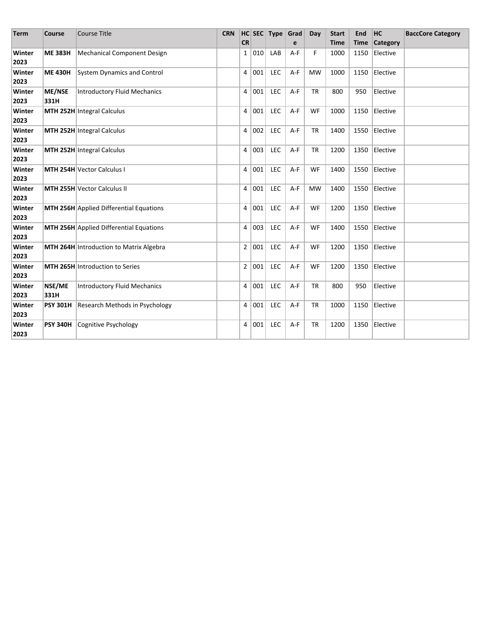| <b>Term</b>    | <b>Course</b>         | <b>Course Title</b>                            | <b>CRN</b> | <b>CR</b>      |     | $HC$ SEC Type | Grad<br>e | Day       | <b>Start</b><br><b>Time</b> | End<br><b>Time</b> | <b>HC</b><br><b>Category</b> | <b>BaccCore Category</b> |
|----------------|-----------------------|------------------------------------------------|------------|----------------|-----|---------------|-----------|-----------|-----------------------------|--------------------|------------------------------|--------------------------|
| Winter         | <b>ME 383H</b>        | Mechanical Component Design                    |            | $\mathbf{1}$   | 010 | LAB           | A-F       | F         | 1000                        | 1150               | Elective                     |                          |
| 2023           |                       |                                                |            |                |     |               |           |           |                             |                    |                              |                          |
| Winter<br>2023 | <b>ME 430H</b>        | System Dynamics and Control                    |            | 4              | 001 | <b>LEC</b>    | $A-F$     | <b>MW</b> | 1000                        | 1150               | Elective                     |                          |
| Winter<br>2023 | <b>ME/NSE</b><br>331H | Introductory Fluid Mechanics                   |            | 4              | 001 | <b>LEC</b>    | $A-F$     | <b>TR</b> | 800                         | 950                | Elective                     |                          |
| Winter<br>2023 |                       | MTH 252H Integral Calculus                     |            | 4              | 001 | <b>LEC</b>    | A-F       | WF        | 1000                        | 1150               | Elective                     |                          |
| Winter<br>2023 |                       | MTH 252H Integral Calculus                     |            | 4              | 002 | <b>LEC</b>    | A-F       | <b>TR</b> | 1400                        | 1550               | Elective                     |                          |
| Winter<br>2023 |                       | MTH 252H Integral Calculus                     |            | 4              | 003 | LEC           | A-F       | <b>TR</b> | 1200                        | 1350               | Elective                     |                          |
| Winter<br>2023 |                       | <b>MTH 254H Vector Calculus I</b>              |            | 4              | 001 | <b>LEC</b>    | A-F       | WF        | 1400                        | 1550               | Elective                     |                          |
| Winter<br>2023 |                       | <b>MTH 255H Vector Calculus II</b>             |            | 4              | 001 | <b>LEC</b>    | A-F       | <b>MW</b> | 1400                        | 1550               | Elective                     |                          |
| Winter<br>2023 |                       | MTH 256H Applied Differential Equations        |            | 4              | 001 | <b>LEC</b>    | $A-F$     | WF        | 1200                        | 1350               | Elective                     |                          |
| Winter<br>2023 |                       | MTH 256H Applied Differential Equations        |            | 4              | 003 | <b>LEC</b>    | $A-F$     | WF        | 1400                        | 1550               | Elective                     |                          |
| Winter<br>2023 |                       | <b>MTH 264H</b> Introduction to Matrix Algebra |            | $\overline{2}$ | 001 | <b>LEC</b>    | A-F       | WF        | 1200                        | 1350               | Elective                     |                          |
| Winter<br>2023 |                       | MTH 265H Introduction to Series                |            | $\overline{2}$ | 001 | LEC           | A-F       | WF        | 1200                        | 1350               | Elective                     |                          |
| Winter<br>2023 | NSE/ME<br>331H        | <b>Introductory Fluid Mechanics</b>            |            | 4              | 001 | <b>LEC</b>    | A-F       | <b>TR</b> | 800                         | 950                | Elective                     |                          |
| Winter<br>2023 | <b>PSY 301H</b>       | Research Methods in Psychology                 |            | 4              | 001 | <b>LEC</b>    | A-F       | <b>TR</b> | 1000                        | 1150               | Elective                     |                          |
| Winter<br>2023 | <b>PSY 340H</b>       | Cognitive Psychology                           |            | 4              | 001 | <b>LEC</b>    | A-F       | <b>TR</b> | 1200                        | 1350               | Elective                     |                          |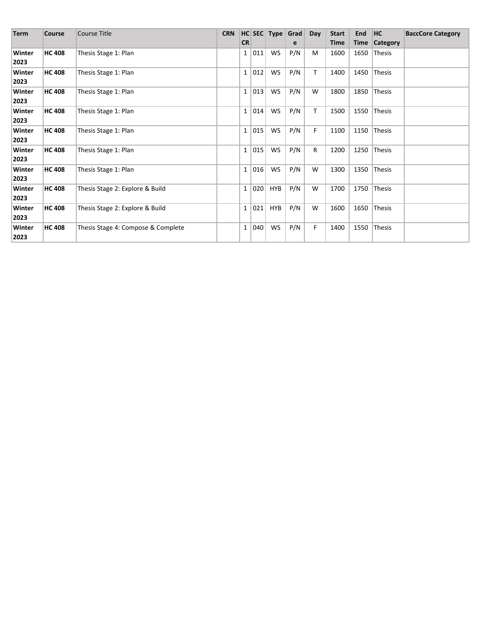| <b>Term</b>    | Course        | <b>Course Title</b>                | <b>CRN</b> |              |     | $HC$ SEC Type Grad |     | Day          | <b>Start</b> | End  | HC            | <b>BaccCore Category</b> |
|----------------|---------------|------------------------------------|------------|--------------|-----|--------------------|-----|--------------|--------------|------|---------------|--------------------------|
|                |               |                                    |            | <b>CR</b>    |     |                    | e   |              | Time         |      | Time Category |                          |
| Winter<br>2023 | <b>HC 408</b> | Thesis Stage 1: Plan               |            | $1\vert$     | 011 | WS                 | P/N | M            | 1600         | 1650 | Thesis        |                          |
| Winter<br>2023 | <b>HC 408</b> | Thesis Stage 1: Plan               |            | $\mathbf{1}$ | 012 | <b>WS</b>          | P/N | T            | 1400         | 1450 | Thesis        |                          |
| Winter<br>2023 | <b>HC 408</b> | Thesis Stage 1: Plan               |            | $\mathbf{1}$ | 013 | WS                 | P/N | W            | 1800         | 1850 | Thesis        |                          |
| Winter<br>2023 | <b>HC 408</b> | Thesis Stage 1: Plan               |            | $\mathbf{1}$ | 014 | <b>WS</b>          | P/N | Τ            | 1500         | 1550 | Thesis        |                          |
| Winter<br>2023 | <b>HC 408</b> | Thesis Stage 1: Plan               |            | $\mathbf{1}$ | 015 | <b>WS</b>          | P/N | F            | 1100         | 1150 | Thesis        |                          |
| Winter<br>2023 | <b>HC 408</b> | Thesis Stage 1: Plan               |            | $\mathbf{1}$ | 015 | WS                 | P/N | $\mathsf{R}$ | 1200         | 1250 | Thesis        |                          |
| Winter<br>2023 | <b>HC 408</b> | Thesis Stage 1: Plan               |            | $\mathbf{1}$ | 016 | <b>WS</b>          | P/N | W            | 1300         |      | 1350 Thesis   |                          |
| Winter<br>2023 | <b>HC 408</b> | Thesis Stage 2: Explore & Build    |            | $\mathbf{1}$ | 020 | <b>HYB</b>         | P/N | W            | 1700         | 1750 | Thesis        |                          |
| Winter<br>2023 | <b>HC 408</b> | Thesis Stage 2: Explore & Build    |            | $\mathbf{1}$ | 021 | HYB                | P/N | W            | 1600         | 1650 | Thesis        |                          |
| Winter<br>2023 | <b>HC 408</b> | Thesis Stage 4: Compose & Complete |            | $\mathbf{1}$ | 040 | WS                 | P/N | F            | 1400         | 1550 | Thesis        |                          |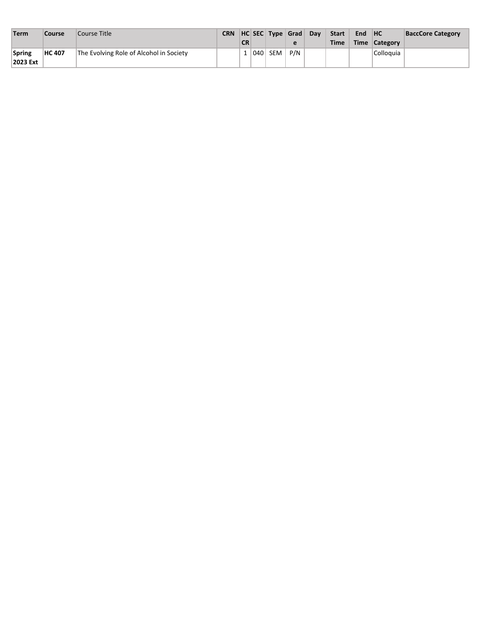| Term               | Course        | Course Title                            | <b>CRN</b> | <b>CR</b> |     | HC SEC Type Grad |     | Dav | <b>Start</b><br><b>Time</b> | <b>End</b> | H <sup>C</sup><br>Time Category | <b>BaccCore Category</b> |
|--------------------|---------------|-----------------------------------------|------------|-----------|-----|------------------|-----|-----|-----------------------------|------------|---------------------------------|--------------------------|
| Spring<br>2023 Ext | <b>HC 407</b> | The Evolving Role of Alcohol in Society |            |           | 040 | SEM              | P/N |     |                             |            | Colloquia                       |                          |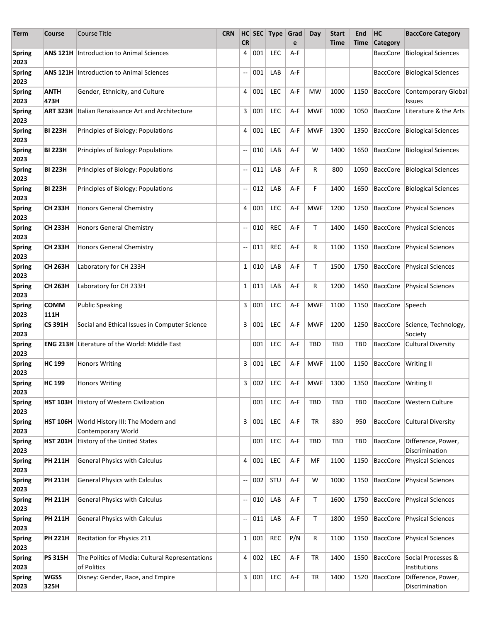| <b>Term</b>           | Course              | <b>Course Title</b>                                            | <b>CRN</b> | <b>CR</b>                |       | HC SEC Type     | Grad<br>e | Day        | <b>Start</b><br>Time | End<br>Time | HC<br><b>Category</b>                           | <b>BaccCore Category</b>                 |
|-----------------------|---------------------|----------------------------------------------------------------|------------|--------------------------|-------|-----------------|-----------|------------|----------------------|-------------|-------------------------------------------------|------------------------------------------|
| <b>Spring</b><br>2023 | ANS 121H            | Introduction to Animal Sciences                                |            | 4                        | 001   | <b>LEC</b>      | A-F       |            |                      |             | <b>BaccCore</b>                                 | <b>Biological Sciences</b>               |
| <b>Spring</b><br>2023 |                     | <b>ANS 121H Introduction to Animal Sciences</b>                |            | --                       | 001   | LAB             | A-F       |            |                      |             | <b>BaccCore</b>                                 | <b>Biological Sciences</b>               |
| <b>Spring</b><br>2023 | <b>ANTH</b><br>473H | Gender, Ethnicity, and Culture                                 |            | 4                        | 001   | <b>LEC</b>      | A-F       | MW         | 1000                 | 1150        | <b>BaccCore</b>                                 | Contemporary Global<br>Issues            |
| <b>Spring</b><br>2023 | <b>ART 323H</b>     | Italian Renaissance Art and Architecture                       |            | 3                        | 001   | <b>LEC</b>      | A-F       | <b>MWF</b> | 1000                 | 1050        | BaccCore                                        | Literature & the Arts                    |
| <b>Spring</b><br>2023 | <b>BI 223H</b>      | Principles of Biology: Populations                             |            | 4                        | 001   | <b>LEC</b>      | A-F       | <b>MWF</b> | 1300                 | 1350        | <b>BaccCore</b>                                 | <b>Biological Sciences</b>               |
| <b>Spring</b><br>2023 | <b>BI 223H</b>      | Principles of Biology: Populations                             |            | $\overline{\phantom{a}}$ | 010   | LAB             | A-F       | W          | 1400                 | 1650        | <b>BaccCore</b>                                 | <b>Biological Sciences</b>               |
| <b>Spring</b><br>2023 | <b>BI 223H</b>      | Principles of Biology: Populations                             |            | $\overline{\phantom{a}}$ | 011   | LAB             | A-F       | R          | 800                  | 1050        | <b>BaccCore</b>                                 | <b>Biological Sciences</b>               |
| <b>Spring</b><br>2023 | <b>BI 223H</b>      | Principles of Biology: Populations                             |            | --                       | 012   | LAB             | A-F       | F          | 1400                 | 1650        | BaccCore                                        | <b>Biological Sciences</b>               |
| <b>Spring</b><br>2023 | <b>CH 233H</b>      | Honors General Chemistry                                       |            | 4                        | 001   | LEC             | A-F       | <b>MWF</b> | 1200                 | 1250        | BaccCore                                        | Physical Sciences                        |
| <b>Spring</b><br>2023 | <b>CH 233H</b>      | Honors General Chemistry                                       |            | --                       | 010   | <b>REC</b>      | A-F       | Т          | 1400                 | 1450        | <b>BaccCore</b>                                 | <b>Physical Sciences</b>                 |
| <b>Spring</b><br>2023 | <b>CH 233H</b>      | <b>Honors General Chemistry</b>                                |            | $\overline{\phantom{a}}$ | 011   | <b>REC</b>      | A-F       | R          | 1100                 | 1150        | <b>BaccCore</b>                                 | <b>Physical Sciences</b>                 |
| <b>Spring</b><br>2023 | <b>CH 263H</b>      | Laboratory for CH 233H                                         |            | $\mathbf{1}$             | 010   | LAB             | A-F       | Т          | 1500                 | 1750        | <b>BaccCore</b>                                 | <b>Physical Sciences</b>                 |
| <b>Spring</b><br>2023 | <b>CH 263H</b>      | Laboratory for CH 233H                                         |            | $1\vert$                 | 011   | LAB             | A-F       | R          | 1200                 | 1450        |                                                 | BaccCore   Physical Sciences             |
| <b>Spring</b><br>2023 | <b>COMM</b><br>111H | <b>Public Speaking</b>                                         |            | 3                        | 001   | <b>LEC</b>      | A-F       | <b>MWF</b> | 1100                 | 1150        | BaccCore Speech                                 |                                          |
| <b>Spring</b><br>2023 | <b>CS 391H</b>      | Social and Ethical Issues in Computer Science                  |            | 3                        | 001   | <b>LEC</b>      | A-F       | <b>MWF</b> | 1200                 | 1250        |                                                 | BaccCore Science, Technology,<br>Society |
| <b>Spring</b><br>2023 |                     | <b>ENG 213H Literature of the World: Middle East</b>           |            |                          | 001   | <b>LEC</b>      | A-F       | TBD        | <b>TBD</b>           | <b>TBD</b>  |                                                 | BaccCore Cultural Diversity              |
| <b>Spring</b><br>2023 | <b>HC 199</b>       | <b>Honors Writing</b>                                          |            | 3                        | 001   | <b>LEC</b>      | A-F       | <b>MWF</b> | 1100                 | 1150        | BaccCore Writing II                             |                                          |
| <b>Spring</b><br>2023 | HC 199              | Honors Writing                                                 |            |                          |       | $3   002  $ LEC |           |            |                      |             | A-F   MWF   1300   1350   BaccCore   Writing II |                                          |
| <b>Spring</b><br>2023 | <b>HST 103H</b>     | History of Western Civilization                                |            |                          | 001   | LEC             | A-F       | TBD        | TBD                  | TBD         | <b>BaccCore</b>                                 | Western Culture                          |
| <b>Spring</b><br>2023 | <b>HST 106H</b>     | World History III: The Modern and<br>Contemporary World        |            | 3                        | 001   | LEC             | A-F       | TR         | 830                  | 950         | <b>BaccCore</b>                                 | <b>Cultural Diversity</b>                |
| <b>Spring</b><br>2023 | <b>HST 201H</b>     | History of the United States                                   |            |                          | 001   | LEC             | A-F       | <b>TBD</b> | <b>TBD</b>           | <b>TBD</b>  | <b>BaccCore</b>                                 | Difference, Power,<br>Discrimination     |
| <b>Spring</b><br>2023 | <b>PH 211H</b>      | <b>General Physics with Calculus</b>                           |            | 4                        | 001   | LEC             | A-F       | MF         | 1100                 | 1150        | BaccCore                                        | <b>Physical Sciences</b>                 |
| <b>Spring</b><br>2023 | <b>PH 211H</b>      | <b>General Physics with Calculus</b>                           |            | $\overline{\phantom{a}}$ | 002   | STU             | A-F       | W          | 1000                 | 1150        | BaccCore                                        | <b>Physical Sciences</b>                 |
| <b>Spring</b><br>2023 | <b>PH 211H</b>      | <b>General Physics with Calculus</b>                           |            | --                       | 010   | LAB             | A-F       | Т          | 1600                 | 1750        | BaccCore                                        | <b>Physical Sciences</b>                 |
| <b>Spring</b><br>2023 | <b>PH 211H</b>      | <b>General Physics with Calculus</b>                           |            | --                       | 011   | LAB             | A-F       | Τ          | 1800                 | 1950        | BaccCore                                        | <b>Physical Sciences</b>                 |
| <b>Spring</b><br>2023 | <b>PH 221H</b>      | Recitation for Physics 211                                     |            | $\mathbf{1}$             | 001   | <b>REC</b>      | P/N       | R          | 1100                 | 1150        | BaccCore                                        | <b>Physical Sciences</b>                 |
| <b>Spring</b><br>2023 | <b>PS 315H</b>      | The Politics of Media: Cultural Representations<br>of Politics |            | 4                        | 002   | LEC             | A-F       | TR         | 1400                 | 1550        | BaccCore                                        | Social Processes &<br>Institutions       |
| <b>Spring</b><br>2023 | <b>WGSS</b><br>325H | Disney: Gender, Race, and Empire                               |            |                          | 3 001 | LEC             | A-F       | TR         | 1400                 | 1520        | BaccCore                                        | Difference, Power,<br>Discrimination     |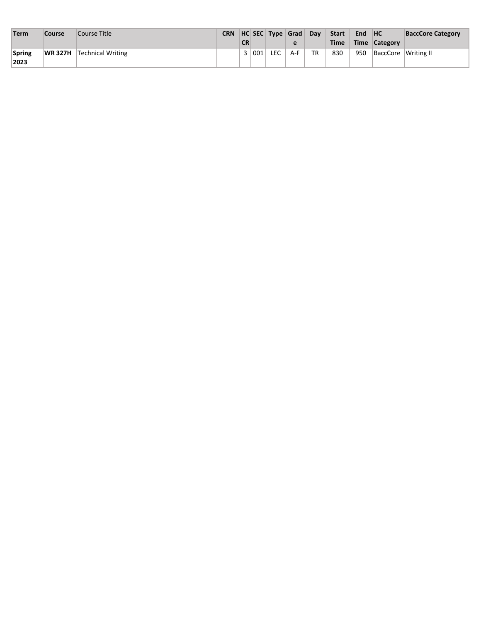| Term           | <b>Course</b> | Course Title                     | <b>CR</b> |         |     | CRN   HC   SEC   Type   Grad | Day | <b>Start</b><br><b>Time</b> | End | H <sup>C</sup><br>Time Category | <b>BaccCore Category</b> |
|----------------|---------------|----------------------------------|-----------|---------|-----|------------------------------|-----|-----------------------------|-----|---------------------------------|--------------------------|
| Spring<br>2023 |               | <b>WR 327H Technical Writing</b> |           | 3   001 | LEC | A-F                          | TR  | 830                         | 950 | BaccCore Writing II             |                          |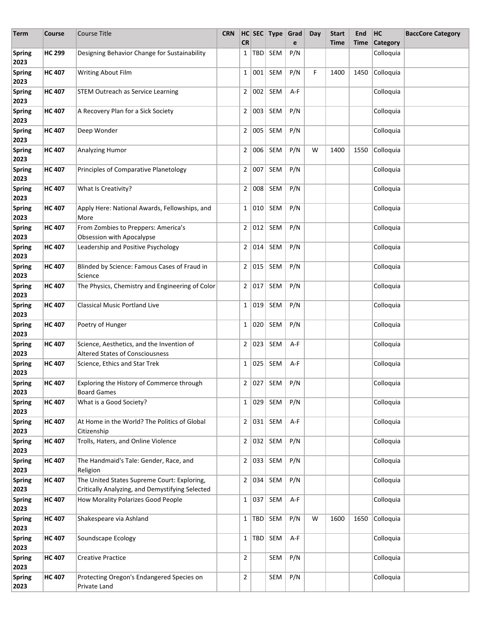| Term                  | Course        | <b>Course Title</b>                                                                            | <b>CRN</b> | <b>CR</b>      |          | HC SEC Type Grad     | e   | Day | <b>Start</b><br><b>Time</b> | End<br>Time | HC<br>Category | <b>BaccCore Category</b> |
|-----------------------|---------------|------------------------------------------------------------------------------------------------|------------|----------------|----------|----------------------|-----|-----|-----------------------------|-------------|----------------|--------------------------|
| <b>Spring</b><br>2023 | <b>HC 299</b> | Designing Behavior Change for Sustainability                                                   |            | $\mathbf{1}$   | TBD      | SEM                  | P/N |     |                             |             | Colloquia      |                          |
| <b>Spring</b><br>2023 | <b>HC 407</b> | Writing About Film                                                                             |            | $\mathbf{1}$   | 001      | SEM                  | P/N | F   | 1400                        | 1450        | Colloquia      |                          |
| <b>Spring</b><br>2023 | <b>HC 407</b> | <b>STEM Outreach as Service Learning</b>                                                       |            | $\overline{2}$ | 002      | SEM                  | A-F |     |                             |             | Colloquia      |                          |
| <b>Spring</b><br>2023 | <b>HC 407</b> | A Recovery Plan for a Sick Society                                                             |            | $\overline{2}$ | 003      | SEM                  | P/N |     |                             |             | Colloquia      |                          |
| <b>Spring</b><br>2023 | <b>HC 407</b> | Deep Wonder                                                                                    |            | $\overline{2}$ | 005      | SEM                  | P/N |     |                             |             | Colloquia      |                          |
| <b>Spring</b><br>2023 | <b>HC 407</b> | Analyzing Humor                                                                                |            | $\overline{2}$ | 006      | SEM                  | P/N | W   | 1400                        | 1550        | Colloquia      |                          |
| <b>Spring</b><br>2023 | <b>HC 407</b> | Principles of Comparative Planetology                                                          |            | $\overline{2}$ | 007      | SEM                  | P/N |     |                             |             | Colloquia      |                          |
| <b>Spring</b><br>2023 | <b>HC 407</b> | What Is Creativity?                                                                            |            | $\overline{2}$ | 008      | SEM                  | P/N |     |                             |             | Colloquia      |                          |
| <b>Spring</b><br>2023 | <b>HC 407</b> | Apply Here: National Awards, Fellowships, and<br>More                                          |            | $\mathbf{1}$   | 010      | SEM                  | P/N |     |                             |             | Colloquia      |                          |
| <b>Spring</b><br>2023 | <b>HC 407</b> | From Zombies to Preppers: America's<br>Obsession with Apocalypse                               |            | $\overline{2}$ | 012      | SEM                  | P/N |     |                             |             | Colloquia      |                          |
| <b>Spring</b><br>2023 | <b>HC 407</b> | Leadership and Positive Psychology                                                             |            | 2              | 014      | SEM                  | P/N |     |                             |             | Colloquia      |                          |
| <b>Spring</b><br>2023 | <b>HC 407</b> | Blinded by Science: Famous Cases of Fraud in<br>Science                                        |            | $\overline{2}$ | 015      | SEM                  | P/N |     |                             |             | Colloquia      |                          |
| <b>Spring</b><br>2023 | <b>HC 407</b> | The Physics, Chemistry and Engineering of Color                                                |            | $\mathbf{2}$   | 017      | SEM                  | P/N |     |                             |             | Colloquia      |                          |
| <b>Spring</b><br>2023 | <b>HC 407</b> | <b>Classical Music Portland Live</b>                                                           |            | 1              | 019      | SEM                  | P/N |     |                             |             | Colloquia      |                          |
| <b>Spring</b><br>2023 | <b>HC 407</b> | Poetry of Hunger                                                                               |            | $\mathbf{1}$   | 020      | SEM                  | P/N |     |                             |             | Colloquia      |                          |
| <b>Spring</b><br>2023 | <b>HC 407</b> | Science, Aesthetics, and the Invention of<br><b>Altered States of Consciousness</b>            |            | 2              | 023      | SEM                  | A-F |     |                             |             | Colloquia      |                          |
| <b>Spring</b><br>2023 | <b>HC 407</b> | Science, Ethics and Star Trek                                                                  |            | $1 \vert$      | 025      | SEM                  | A-F |     |                             |             | Colloquia      |                          |
| <b>Spring</b><br>2023 | <b>HC 407</b> | Exploring the History of Commerce through<br><b>Board Games</b>                                |            |                |          | $2  027 $ SEM $ P/N$ |     |     |                             |             | Colloquia      |                          |
| <b>Spring</b><br>2023 | <b>HC 407</b> | What is a Good Society?                                                                        |            | $1 \mid$       | 029      | SEM                  | P/N |     |                             |             | Colloquia      |                          |
| <b>Spring</b><br>2023 | <b>HC 407</b> | At Home in the World? The Politics of Global<br>Citizenship                                    |            |                | 2   031  | SEM                  | A-F |     |                             |             | Colloquia      |                          |
| <b>Spring</b><br>2023 | <b>HC 407</b> | Trolls, Haters, and Online Violence                                                            |            | $\overline{2}$ | 032      | SEM                  | P/N |     |                             |             | Colloquia      |                          |
| <b>Spring</b><br>2023 | <b>HC 407</b> | The Handmaid's Tale: Gender, Race, and<br>Religion                                             |            | 2 <sup>1</sup> | 033      | SEM                  | P/N |     |                             |             | Colloquia      |                          |
| <b>Spring</b><br>2023 | <b>HC 407</b> | The United States Supreme Court: Exploring,<br>Critically Analyzing, and Demystifying Selected |            | 2 <sup>2</sup> | 034      | SEM                  | P/N |     |                             |             | Colloquia      |                          |
| <b>Spring</b><br>2023 | <b>HC 407</b> | How Morality Polarizes Good People                                                             |            | $1 \mid$       | 037      | SEM                  | A-F |     |                             |             | Colloquia      |                          |
| <b>Spring</b><br>2023 | <b>HC 407</b> | Shakespeare via Ashland                                                                        |            |                | $1$  TBD | SEM                  | P/N | W   | 1600                        | 1650        | Colloquia      |                          |
| <b>Spring</b><br>2023 | <b>HC 407</b> | Soundscape Ecology                                                                             |            | $\mathbf{1}$   | TBD      | SEM                  | A-F |     |                             |             | Colloquia      |                          |
| <b>Spring</b><br>2023 | <b>HC 407</b> | <b>Creative Practice</b>                                                                       |            | 2              |          | <b>SEM</b>           | P/N |     |                             |             | Colloquia      |                          |
| <b>Spring</b><br>2023 | <b>HC 407</b> | Protecting Oregon's Endangered Species on<br>Private Land                                      |            | 2              |          | SEM                  | P/N |     |                             |             | Colloquia      |                          |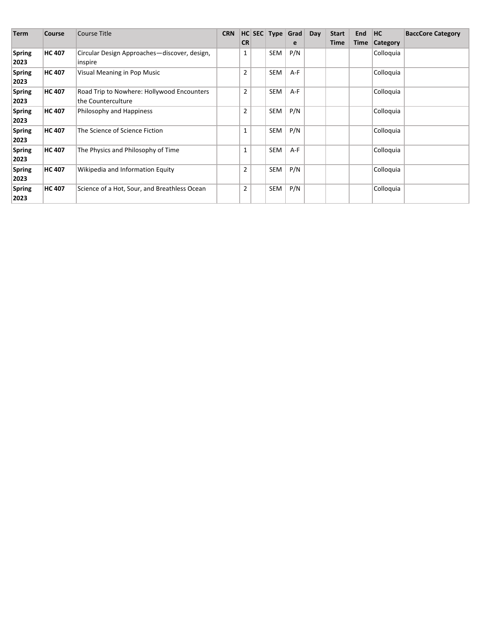| <b>Term</b>   | <b>Course</b> | Course Title                                 | <b>CRN</b> |                | HC SEC Type Grad |       | Day | <b>Start</b> | End  | HC              | <b>BaccCore Category</b> |
|---------------|---------------|----------------------------------------------|------------|----------------|------------------|-------|-----|--------------|------|-----------------|--------------------------|
|               |               |                                              |            | <b>CR</b>      |                  | e     |     | Time         | Time | <b>Category</b> |                          |
| <b>Spring</b> | <b>HC 407</b> | Circular Design Approaches-discover, design, |            | 1              | <b>SEM</b>       | P/N   |     |              |      | Colloquia       |                          |
| 2023          |               | inspire                                      |            |                |                  |       |     |              |      |                 |                          |
| <b>Spring</b> | <b>HC 407</b> | Visual Meaning in Pop Music                  |            | 2              | <b>SEM</b>       | A-F   |     |              |      | Colloquia       |                          |
| 2023          |               |                                              |            |                |                  |       |     |              |      |                 |                          |
| <b>Spring</b> | <b>HC 407</b> | Road Trip to Nowhere: Hollywood Encounters   |            | $\overline{2}$ | <b>SEM</b>       | $A-F$ |     |              |      | Colloquia       |                          |
| 2023          |               | the Counterculture                           |            |                |                  |       |     |              |      |                 |                          |
| <b>Spring</b> | <b>HC 407</b> | Philosophy and Happiness                     |            | 2              | SEM              | P/N   |     |              |      | Colloquia       |                          |
| 2023          |               |                                              |            |                |                  |       |     |              |      |                 |                          |
| <b>Spring</b> | <b>HC 407</b> | The Science of Science Fiction               |            | 1              | SEM              | P/N   |     |              |      | Colloquia       |                          |
| 2023          |               |                                              |            |                |                  |       |     |              |      |                 |                          |
| <b>Spring</b> | <b>HC 407</b> | The Physics and Philosophy of Time           |            | 1              | SEM              | A-F   |     |              |      | Colloquia       |                          |
| 2023          |               |                                              |            |                |                  |       |     |              |      |                 |                          |
| <b>Spring</b> | <b>HC 407</b> | Wikipedia and Information Equity             |            | $\overline{2}$ | SEM              | P/N   |     |              |      | Colloquia       |                          |
| 2023          |               |                                              |            |                |                  |       |     |              |      |                 |                          |
| <b>Spring</b> | <b>HC 407</b> | Science of a Hot, Sour, and Breathless Ocean |            | $\overline{2}$ | SEM              | P/N   |     |              |      | Colloquia       |                          |
| 2023          |               |                                              |            |                |                  |       |     |              |      |                 |                          |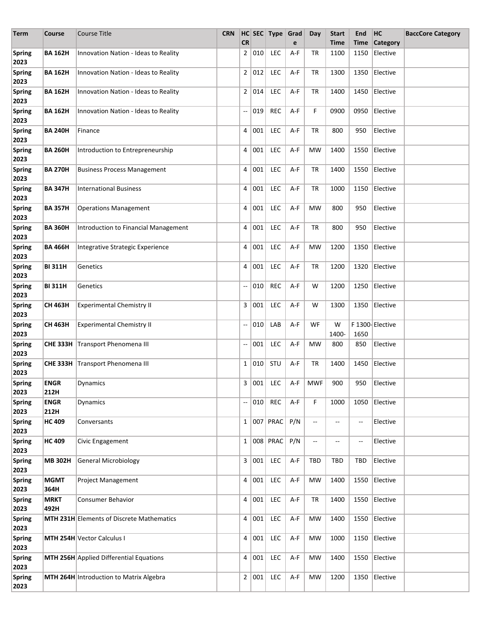| Term                  | Course              | <b>Course Title</b>                              | <b>CRN</b> |                          |         | HC SEC Type Grad  |     | Day                      | <b>Start</b> | End                      | HC                                           | <b>BaccCore Category</b> |
|-----------------------|---------------------|--------------------------------------------------|------------|--------------------------|---------|-------------------|-----|--------------------------|--------------|--------------------------|----------------------------------------------|--------------------------|
|                       |                     |                                                  |            | <b>CR</b>                |         |                   | e   |                          | <b>Time</b>  | Time                     | Category                                     |                          |
| <b>Spring</b><br>2023 | <b>BA 162H</b>      | Innovation Nation - Ideas to Reality             |            | $\overline{2}$           | 010     | LEC               | A-F | TR                       | 1100         | 1150                     | Elective                                     |                          |
| <b>Spring</b><br>2023 | <b>BA 162H</b>      | Innovation Nation - Ideas to Reality             |            |                          | 2 012   | LEC               | A-F | TR                       | 1300         | 1350                     | Elective                                     |                          |
| <b>Spring</b><br>2023 | <b>BA 162H</b>      | Innovation Nation - Ideas to Reality             |            |                          | 2 014   | <b>LEC</b>        | A-F | TR                       | 1400         | 1450                     | Elective                                     |                          |
| <b>Spring</b><br>2023 | <b>BA 162H</b>      | Innovation Nation - Ideas to Reality             |            | --                       | 019     | <b>REC</b>        | A-F | F                        | 0900         | 0950                     | Elective                                     |                          |
| <b>Spring</b><br>2023 | <b>BA 240H</b>      | Finance                                          |            | 4                        | 001     | <b>LEC</b>        | A-F | TR                       | 800          | 950                      | Elective                                     |                          |
| <b>Spring</b><br>2023 | <b>BA 260H</b>      | Introduction to Entrepreneurship                 |            | 4                        | 001     | <b>LEC</b>        | A-F | <b>MW</b>                | 1400         | 1550                     | Elective                                     |                          |
| <b>Spring</b><br>2023 | <b>BA 270H</b>      | <b>Business Process Management</b>               |            | 4                        | 001     | <b>LEC</b>        | A-F | TR                       | 1400         | 1550                     | Elective                                     |                          |
| <b>Spring</b><br>2023 | <b>BA 347H</b>      | <b>International Business</b>                    |            | 4                        | 001     | <b>LEC</b>        | A-F | TR                       | 1000         | 1150                     | Elective                                     |                          |
| <b>Spring</b><br>2023 | <b>BA 357H</b>      | <b>Operations Management</b>                     |            | 4                        | 001     | <b>LEC</b>        | A-F | MW                       | 800          | 950                      | Elective                                     |                          |
| <b>Spring</b><br>2023 | <b>BA 360H</b>      | Introduction to Financial Management             |            | 4                        | 001     | LEC               | A-F | TR                       | 800          | 950                      | Elective                                     |                          |
| <b>Spring</b><br>2023 | <b>BA 466H</b>      | Integrative Strategic Experience                 |            | 4                        | 001     | LEC               | A-F | MW                       | 1200         | 1350                     | Elective                                     |                          |
| <b>Spring</b><br>2023 | <b>BI 311H</b>      | Genetics                                         |            | 4                        | 001     | LEC               | A-F | TR                       | 1200         | 1320                     | Elective                                     |                          |
| <b>Spring</b><br>2023 | <b>BI311H</b>       | Genetics                                         |            | $\overline{\phantom{a}}$ | 010     | <b>REC</b>        | A-F | W                        | 1200         | 1250                     | Elective                                     |                          |
| <b>Spring</b><br>2023 | <b>CH 463H</b>      | <b>Experimental Chemistry II</b>                 |            | 3                        | 001     | LEC               | A-F | W                        | 1300         | 1350                     | Elective                                     |                          |
| <b>Spring</b><br>2023 | CH 463H             | <b>Experimental Chemistry II</b>                 |            | --                       | 010     | LAB               | A-F | WF                       | W<br>1400-   | 1650                     | F 1300-Elective                              |                          |
| <b>Spring</b><br>2023 |                     | CHE 333H Transport Phenomena III                 |            | --                       | 001     | <b>LEC</b>        | A-F | MW                       | 800          | 850                      | Elective                                     |                          |
| <b>Spring</b><br>2023 |                     | CHE 333H Transport Phenomena III                 |            |                          | 1   010 | STU               | A-F | TR                       | 1400         | 1450                     | Elective                                     |                          |
| <b>Spring</b><br>2023 | <b>ENGR</b><br>212H | Dynamics                                         |            |                          |         |                   |     |                          |              |                          | 3 001 LEC   A-F   MWF   900   950   Elective |                          |
| <b>Spring</b><br>2023 | <b>ENGR</b><br>212H | Dynamics                                         |            | --                       | 010     | REC               | A-F | F                        | 1000         | 1050                     | Elective                                     |                          |
| <b>Spring</b><br>2023 | <b>HC 409</b>       | Conversants                                      |            |                          |         | 1   007   P R A C | P/N | $\overline{\phantom{a}}$ | --           | $\qquad \qquad -$        | Elective                                     |                          |
| <b>Spring</b><br>2023 | <b>HC 409</b>       | Civic Engagement                                 |            |                          |         | 1   008   PRAC    | P/N | $\overline{\phantom{a}}$ | --           | $\overline{\phantom{m}}$ | Elective                                     |                          |
| <b>Spring</b><br>2023 | <b>MB 302H</b>      | <b>General Microbiology</b>                      |            |                          | 3   001 | LEC               | A-F | <b>TBD</b>               | TBD          | <b>TBD</b>               | Elective                                     |                          |
| <b>Spring</b><br>2023 | <b>MGMT</b><br>364H | <b>Project Management</b>                        |            |                          | 4   001 | LEC               | A-F | MW                       | 1400         | 1550                     | Elective                                     |                          |
| <b>Spring</b><br>2023 | <b>MRKT</b><br>492H | <b>Consumer Behavior</b>                         |            |                          | 4 001   | LEC               | A-F | TR                       | 1400         | 1550                     | Elective                                     |                          |
| <b>Spring</b><br>2023 |                     | <b>MTH 231H Elements of Discrete Mathematics</b> |            | $4 \mid$                 | 001     | LEC               | A-F | MW                       | 1400         | 1550                     | Elective                                     |                          |
| <b>Spring</b><br>2023 |                     | MTH 254H Vector Calculus I                       |            | 4                        | 001     | LEC               | A-F | MW                       | 1000         | 1150                     | Elective                                     |                          |
| <b>Spring</b><br>2023 |                     | MTH 256H Applied Differential Equations          |            | 4                        | 001     | LEC               | A-F | MW                       | 1400         | 1550                     | Elective                                     |                          |
| <b>Spring</b><br>2023 |                     | MTH 264H Introduction to Matrix Algebra          |            |                          | 2   001 | LEC               | A-F | MW                       | 1200         | 1350                     | Elective                                     |                          |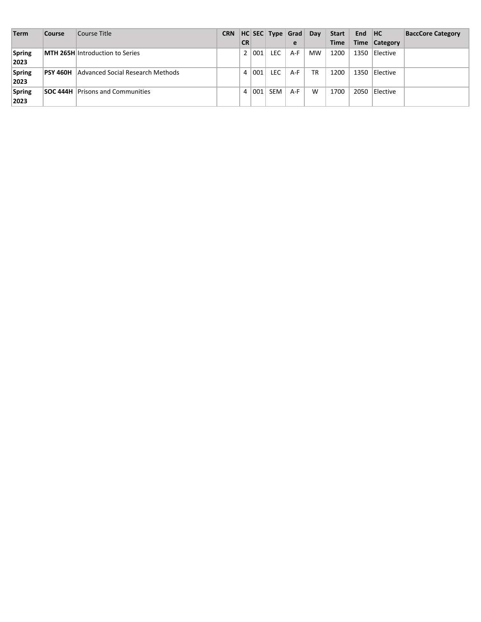| <b>Term</b>           | <b>Course</b>   | Course Title                            | <b>CRN</b> |                |              | HC SEC Type Grad |     | Day       | <b>Start</b> | <b>End</b> | H <sub>C</sub>  | <b>BaccCore Category</b> |
|-----------------------|-----------------|-----------------------------------------|------------|----------------|--------------|------------------|-----|-----------|--------------|------------|-----------------|--------------------------|
|                       |                 |                                         |            | <b>CR</b>      |              |                  | e   |           | <b>Time</b>  |            | Time Category   |                          |
| Spring<br>2023        |                 | <b>MTH 265H Introduction to Series</b>  |            | 2 <sup>1</sup> | $\sqrt{001}$ | LEC.             | A-F | <b>MW</b> | 1200         | 1350       | <b>Elective</b> |                          |
| Spring<br>2023        | <b>PSY 460H</b> | Advanced Social Research Methods        |            | 4              | 1001         | LEC              | A-F | TR        | 1200         | 1350       | <b>Elective</b> |                          |
| <b>Spring</b><br>2023 |                 | <b>SOC 444H</b> Prisons and Communities |            | 4 <sup>1</sup> | 001          | SEM              | A-F | W         | 1700         | 2050       | <b>Elective</b> |                          |